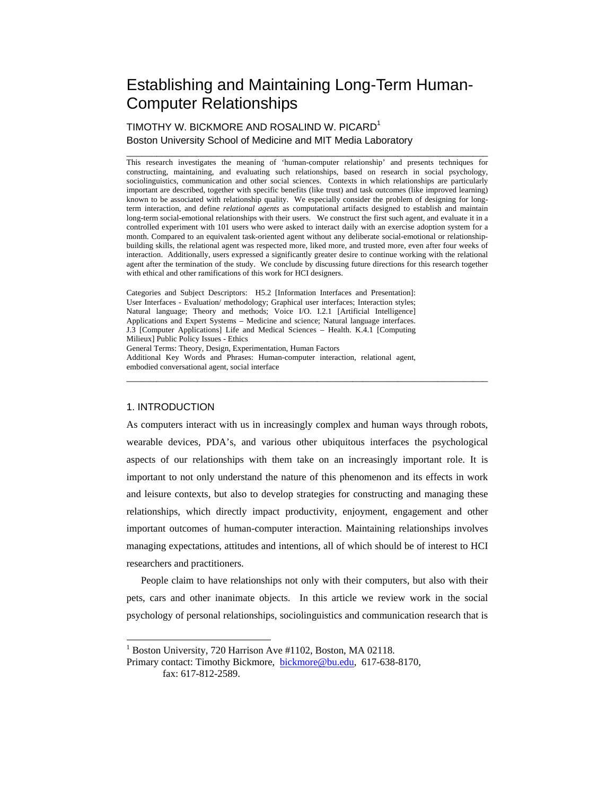# Establishing and Maintaining Long-Term Human-Computer Relationships

# TIMOTHY W. BICKMORE AND ROSALIND W. PICARD<sup>1</sup> Boston University School of Medicine and MIT Media Laboratory

This research investigates the meaning of 'human-computer relationship' and presents techniques for constructing, maintaining, and evaluating such relationships, based on research in social psychology, sociolinguistics, communication and other social sciences. Contexts in which relationships are particularly important are described, together with specific benefits (like trust) and task outcomes (like improved learning) known to be associated with relationship quality. We especially consider the problem of designing for longterm interaction, and define *relational agents* as computational artifacts designed to establish and maintain long-term social-emotional relationships with their users. We construct the first such agent, and evaluate it in a controlled experiment with 101 users who were asked to interact daily with an exercise adoption system for a month. Compared to an equivalent task-oriented agent without any deliberate social-emotional or relationshipbuilding skills, the relational agent was respected more, liked more, and trusted more, even after four weeks of interaction. Additionally, users expressed a significantly greater desire to continue working with the relational agent after the termination of the study. We conclude by discussing future directions for this research together with ethical and other ramifications of this work for HCI designers.

\_\_\_\_\_\_\_\_\_\_\_\_\_\_\_\_\_\_\_\_\_\_\_\_\_\_\_\_\_\_\_\_\_\_\_\_\_\_\_\_\_\_\_\_\_\_\_\_\_\_\_\_\_\_\_\_\_\_\_\_\_\_\_\_\_\_\_\_\_\_\_\_

Categories and Subject Descriptors: H5.2 [Information Interfaces and Presentation]: User Interfaces - Evaluation/ methodology; Graphical user interfaces; Interaction styles; Natural language; Theory and methods; Voice I/O. I.2.1 [Artificial Intelligence] Applications and Expert Systems – Medicine and science; Natural language interfaces. J.3 [Computer Applications] Life and Medical Sciences – Health. K.4.1 [Computing Milieux] Public Policy Issues - Ethics General Terms: Theory, Design, Experimentation, Human Factors Additional Key Words and Phrases: Human-computer interaction, relational agent,

#### 1. INTRODUCTION

 $\overline{a}$ 

embodied conversational agent, social interface

As computers interact with us in increasingly complex and human ways through robots, wearable devices, PDA's, and various other ubiquitous interfaces the psychological aspects of our relationships with them take on an increasingly important role. It is important to not only understand the nature of this phenomenon and its effects in work and leisure contexts, but also to develop strategies for constructing and managing these relationships, which directly impact productivity, enjoyment, engagement and other important outcomes of human-computer interaction. Maintaining relationships involves managing expectations, attitudes and intentions, all of which should be of interest to HCI researchers and practitioners.

\_\_\_\_\_\_\_\_\_\_\_\_\_\_\_\_\_\_\_\_\_\_\_\_\_\_\_\_\_\_\_\_\_\_\_\_\_\_\_\_\_\_\_\_\_\_\_\_\_\_\_\_\_\_\_\_\_\_\_\_\_\_\_\_\_\_\_\_\_\_\_\_

People claim to have relationships not only with their computers, but also with their pets, cars and other inanimate objects. In this article we review work in the social psychology of personal relationships, sociolinguistics and communication research that is

<sup>&</sup>lt;sup>1</sup> Boston University, 720 Harrison Ave #1102, Boston, MA 02118.

Primary contact: Timothy Bickmore, bickmore@bu.edu, 617-638-8170, fax: 617-812-2589.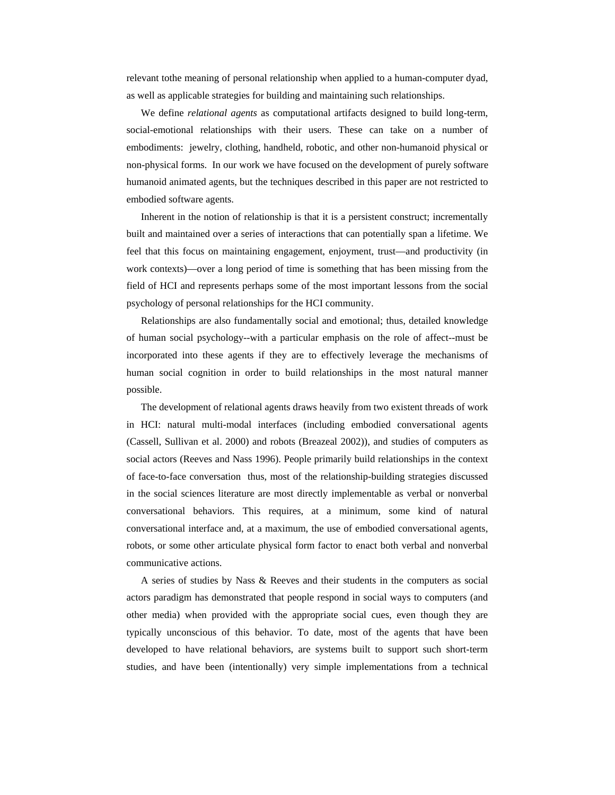relevant tothe meaning of personal relationship when applied to a human-computer dyad, as well as applicable strategies for building and maintaining such relationships.

We define *relational agents* as computational artifacts designed to build long-term, social-emotional relationships with their users. These can take on a number of embodiments: jewelry, clothing, handheld, robotic, and other non-humanoid physical or non-physical forms. In our work we have focused on the development of purely software humanoid animated agents, but the techniques described in this paper are not restricted to embodied software agents.

Inherent in the notion of relationship is that it is a persistent construct; incrementally built and maintained over a series of interactions that can potentially span a lifetime. We feel that this focus on maintaining engagement, enjoyment, trust—and productivity (in work contexts)—over a long period of time is something that has been missing from the field of HCI and represents perhaps some of the most important lessons from the social psychology of personal relationships for the HCI community.

Relationships are also fundamentally social and emotional; thus, detailed knowledge of human social psychology--with a particular emphasis on the role of affect--must be incorporated into these agents if they are to effectively leverage the mechanisms of human social cognition in order to build relationships in the most natural manner possible.

The development of relational agents draws heavily from two existent threads of work in HCI: natural multi-modal interfaces (including embodied conversational agents (Cassell, Sullivan et al. 2000) and robots (Breazeal 2002)), and studies of computers as social actors (Reeves and Nass 1996). People primarily build relationships in the context of face-to-face conversation thus, most of the relationship-building strategies discussed in the social sciences literature are most directly implementable as verbal or nonverbal conversational behaviors. This requires, at a minimum, some kind of natural conversational interface and, at a maximum, the use of embodied conversational agents, robots, or some other articulate physical form factor to enact both verbal and nonverbal communicative actions.

A series of studies by Nass & Reeves and their students in the computers as social actors paradigm has demonstrated that people respond in social ways to computers (and other media) when provided with the appropriate social cues, even though they are typically unconscious of this behavior. To date, most of the agents that have been developed to have relational behaviors, are systems built to support such short-term studies, and have been (intentionally) very simple implementations from a technical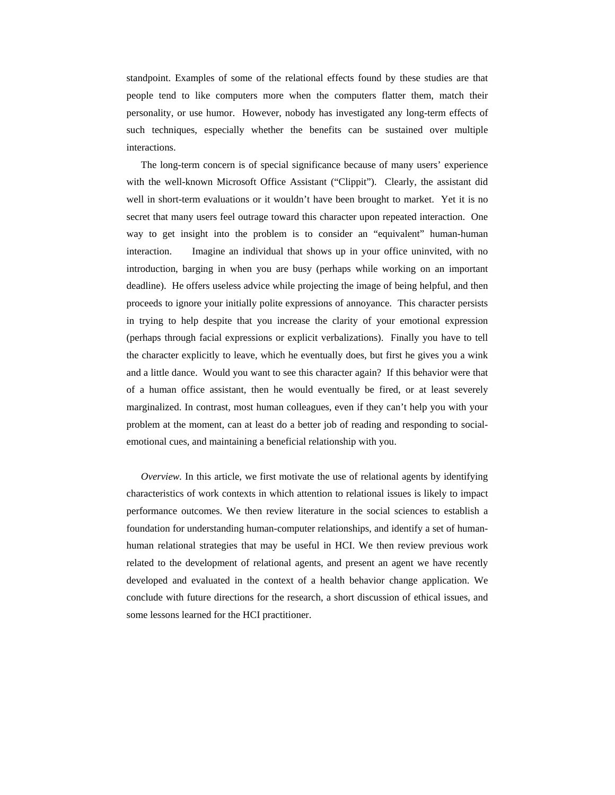standpoint. Examples of some of the relational effects found by these studies are that people tend to like computers more when the computers flatter them, match their personality, or use humor. However, nobody has investigated any long-term effects of such techniques, especially whether the benefits can be sustained over multiple interactions.

The long-term concern is of special significance because of many users' experience with the well-known Microsoft Office Assistant ("Clippit"). Clearly, the assistant did well in short-term evaluations or it wouldn't have been brought to market. Yet it is no secret that many users feel outrage toward this character upon repeated interaction. One way to get insight into the problem is to consider an "equivalent" human-human interaction. Imagine an individual that shows up in your office uninvited, with no introduction, barging in when you are busy (perhaps while working on an important deadline). He offers useless advice while projecting the image of being helpful, and then proceeds to ignore your initially polite expressions of annoyance. This character persists in trying to help despite that you increase the clarity of your emotional expression (perhaps through facial expressions or explicit verbalizations). Finally you have to tell the character explicitly to leave, which he eventually does, but first he gives you a wink and a little dance. Would you want to see this character again? If this behavior were that of a human office assistant, then he would eventually be fired, or at least severely marginalized. In contrast, most human colleagues, even if they can't help you with your problem at the moment, can at least do a better job of reading and responding to socialemotional cues, and maintaining a beneficial relationship with you.

*Overview.* In this article, we first motivate the use of relational agents by identifying characteristics of work contexts in which attention to relational issues is likely to impact performance outcomes. We then review literature in the social sciences to establish a foundation for understanding human-computer relationships, and identify a set of humanhuman relational strategies that may be useful in HCI. We then review previous work related to the development of relational agents, and present an agent we have recently developed and evaluated in the context of a health behavior change application. We conclude with future directions for the research, a short discussion of ethical issues, and some lessons learned for the HCI practitioner.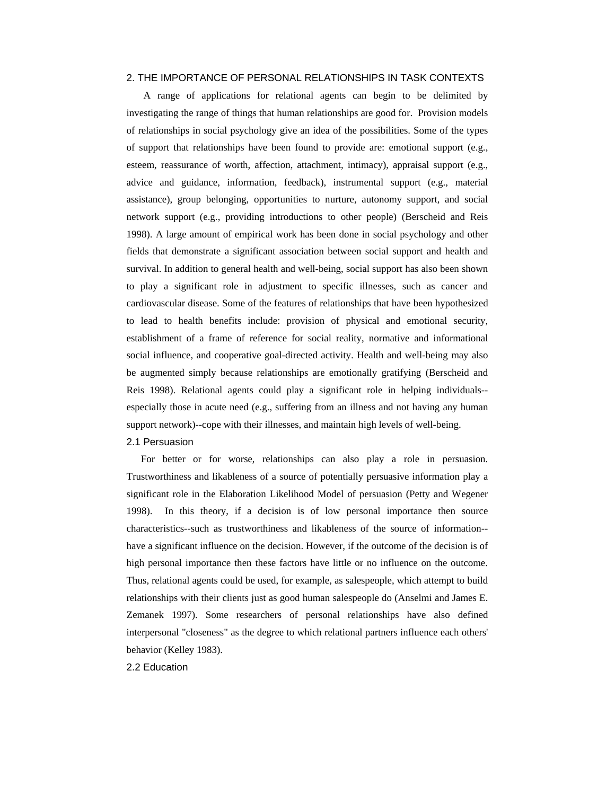# 2. THE IMPORTANCE OF PERSONAL RELATIONSHIPS IN TASK CONTEXTS

A range of applications for relational agents can begin to be delimited by investigating the range of things that human relationships are good for. Provision models of relationships in social psychology give an idea of the possibilities. Some of the types of support that relationships have been found to provide are: emotional support (e.g., esteem, reassurance of worth, affection, attachment, intimacy), appraisal support (e.g., advice and guidance, information, feedback), instrumental support (e.g., material assistance), group belonging, opportunities to nurture, autonomy support, and social network support (e.g., providing introductions to other people) (Berscheid and Reis 1998). A large amount of empirical work has been done in social psychology and other fields that demonstrate a significant association between social support and health and survival. In addition to general health and well-being, social support has also been shown to play a significant role in adjustment to specific illnesses, such as cancer and cardiovascular disease. Some of the features of relationships that have been hypothesized to lead to health benefits include: provision of physical and emotional security, establishment of a frame of reference for social reality, normative and informational social influence, and cooperative goal-directed activity. Health and well-being may also be augmented simply because relationships are emotionally gratifying (Berscheid and Reis 1998). Relational agents could play a significant role in helping individuals- especially those in acute need (e.g., suffering from an illness and not having any human support network)--cope with their illnesses, and maintain high levels of well-being.

# 2.1 Persuasion

For better or for worse, relationships can also play a role in persuasion. Trustworthiness and likableness of a source of potentially persuasive information play a significant role in the Elaboration Likelihood Model of persuasion (Petty and Wegener 1998). In this theory, if a decision is of low personal importance then source characteristics--such as trustworthiness and likableness of the source of information- have a significant influence on the decision. However, if the outcome of the decision is of high personal importance then these factors have little or no influence on the outcome. Thus, relational agents could be used, for example, as salespeople, which attempt to build relationships with their clients just as good human salespeople do (Anselmi and James E. Zemanek 1997). Some researchers of personal relationships have also defined interpersonal "closeness" as the degree to which relational partners influence each others' behavior (Kelley 1983).

2.2 Education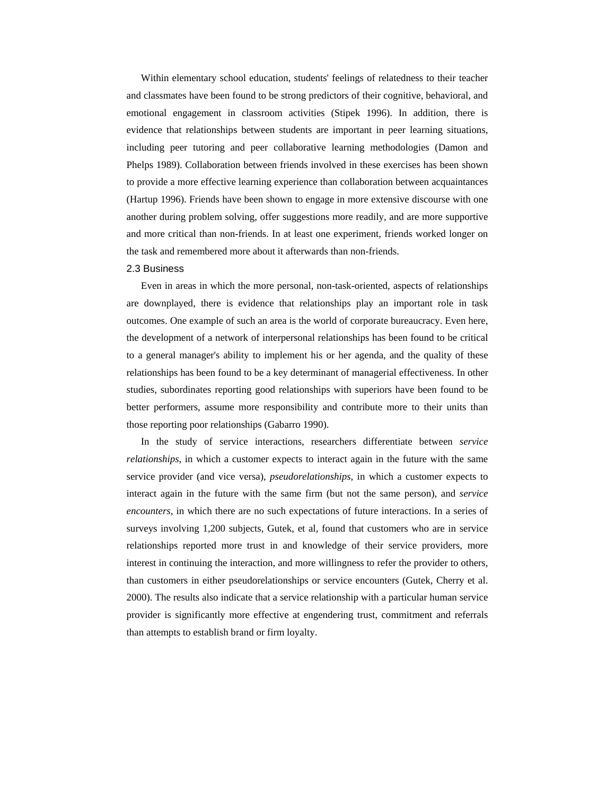Within elementary school education, students' feelings of relatedness to their teacher and classmates have been found to be strong predictors of their cognitive, behavioral, and emotional engagement in classroom activities (Stipek 1996). In addition, there is evidence that relationships between students are important in peer learning situations, including peer tutoring and peer collaborative learning methodologies (Damon and Phelps 1989). Collaboration between friends involved in these exercises has been shown to provide a more effective learning experience than collaboration between acquaintances (Hartup 1996). Friends have been shown to engage in more extensive discourse with one another during problem solving, offer suggestions more readily, and are more supportive and more critical than non-friends. In at least one experiment, friends worked longer on the task and remembered more about it afterwards than non-friends.

#### 2.3 Business

Even in areas in which the more personal, non-task-oriented, aspects of relationships are downplayed, there is evidence that relationships play an important role in task outcomes. One example of such an area is the world of corporate bureaucracy. Even here, the development of a network of interpersonal relationships has been found to be critical to a general manager's ability to implement his or her agenda, and the quality of these relationships has been found to be a key determinant of managerial effectiveness. In other studies, subordinates reporting good relationships with superiors have been found to be better performers, assume more responsibility and contribute more to their units than those reporting poor relationships (Gabarro 1990).

In the study of service interactions, researchers differentiate between *service relationships*, in which a customer expects to interact again in the future with the same service provider (and vice versa), *pseudorelationships*, in which a customer expects to interact again in the future with the same firm (but not the same person), and *service encounters*, in which there are no such expectations of future interactions. In a series of surveys involving 1,200 subjects, Gutek, et al, found that customers who are in service relationships reported more trust in and knowledge of their service providers, more interest in continuing the interaction, and more willingness to refer the provider to others, than customers in either pseudorelationships or service encounters (Gutek, Cherry et al. 2000). The results also indicate that a service relationship with a particular human service provider is significantly more effective at engendering trust, commitment and referrals than attempts to establish brand or firm loyalty.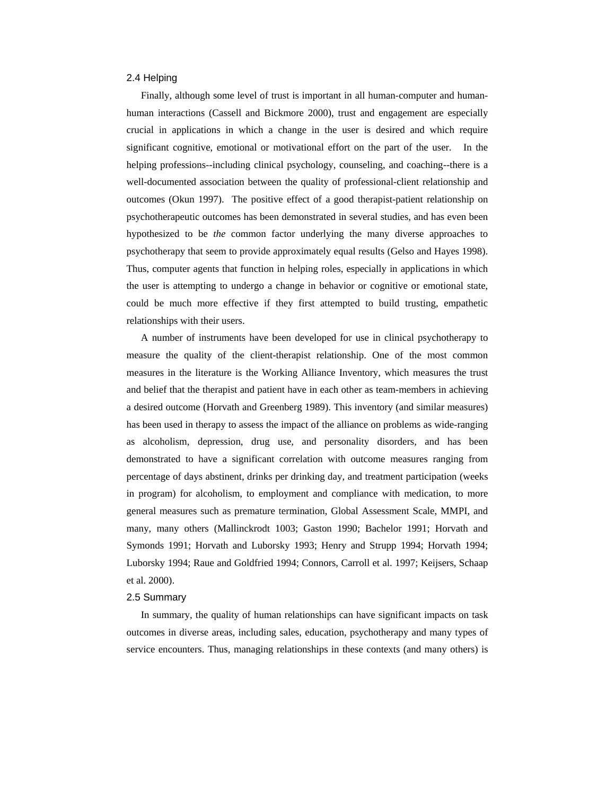### 2.4 Helping

Finally, although some level of trust is important in all human-computer and humanhuman interactions (Cassell and Bickmore 2000), trust and engagement are especially crucial in applications in which a change in the user is desired and which require significant cognitive, emotional or motivational effort on the part of the user. In the helping professions--including clinical psychology, counseling, and coaching--there is a well-documented association between the quality of professional-client relationship and outcomes (Okun 1997). The positive effect of a good therapist-patient relationship on psychotherapeutic outcomes has been demonstrated in several studies, and has even been hypothesized to be *the* common factor underlying the many diverse approaches to psychotherapy that seem to provide approximately equal results (Gelso and Hayes 1998). Thus, computer agents that function in helping roles, especially in applications in which the user is attempting to undergo a change in behavior or cognitive or emotional state, could be much more effective if they first attempted to build trusting, empathetic relationships with their users.

A number of instruments have been developed for use in clinical psychotherapy to measure the quality of the client-therapist relationship. One of the most common measures in the literature is the Working Alliance Inventory, which measures the trust and belief that the therapist and patient have in each other as team-members in achieving a desired outcome (Horvath and Greenberg 1989). This inventory (and similar measures) has been used in therapy to assess the impact of the alliance on problems as wide-ranging as alcoholism, depression, drug use, and personality disorders, and has been demonstrated to have a significant correlation with outcome measures ranging from percentage of days abstinent, drinks per drinking day, and treatment participation (weeks in program) for alcoholism, to employment and compliance with medication, to more general measures such as premature termination, Global Assessment Scale, MMPI, and many, many others (Mallinckrodt 1003; Gaston 1990; Bachelor 1991; Horvath and Symonds 1991; Horvath and Luborsky 1993; Henry and Strupp 1994; Horvath 1994; Luborsky 1994; Raue and Goldfried 1994; Connors, Carroll et al. 1997; Keijsers, Schaap et al. 2000).

#### 2.5 Summary

In summary, the quality of human relationships can have significant impacts on task outcomes in diverse areas, including sales, education, psychotherapy and many types of service encounters. Thus, managing relationships in these contexts (and many others) is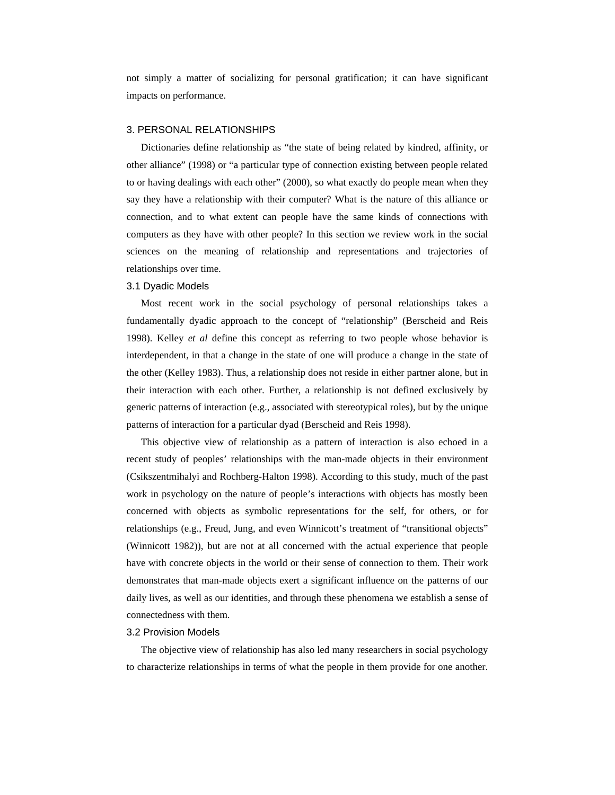not simply a matter of socializing for personal gratification; it can have significant impacts on performance.

#### 3. PERSONAL RELATIONSHIPS

Dictionaries define relationship as "the state of being related by kindred, affinity, or other alliance" (1998) or "a particular type of connection existing between people related to or having dealings with each other" (2000), so what exactly do people mean when they say they have a relationship with their computer? What is the nature of this alliance or connection, and to what extent can people have the same kinds of connections with computers as they have with other people? In this section we review work in the social sciences on the meaning of relationship and representations and trajectories of relationships over time.

### 3.1 Dyadic Models

Most recent work in the social psychology of personal relationships takes a fundamentally dyadic approach to the concept of "relationship" (Berscheid and Reis 1998). Kelley *et al* define this concept as referring to two people whose behavior is interdependent, in that a change in the state of one will produce a change in the state of the other (Kelley 1983). Thus, a relationship does not reside in either partner alone, but in their interaction with each other. Further, a relationship is not defined exclusively by generic patterns of interaction (e.g., associated with stereotypical roles), but by the unique patterns of interaction for a particular dyad (Berscheid and Reis 1998).

This objective view of relationship as a pattern of interaction is also echoed in a recent study of peoples' relationships with the man-made objects in their environment (Csikszentmihalyi and Rochberg-Halton 1998). According to this study, much of the past work in psychology on the nature of people's interactions with objects has mostly been concerned with objects as symbolic representations for the self, for others, or for relationships (e.g., Freud, Jung, and even Winnicott's treatment of "transitional objects" (Winnicott 1982)), but are not at all concerned with the actual experience that people have with concrete objects in the world or their sense of connection to them. Their work demonstrates that man-made objects exert a significant influence on the patterns of our daily lives, as well as our identities, and through these phenomena we establish a sense of connectedness with them.

#### 3.2 Provision Models

The objective view of relationship has also led many researchers in social psychology to characterize relationships in terms of what the people in them provide for one another.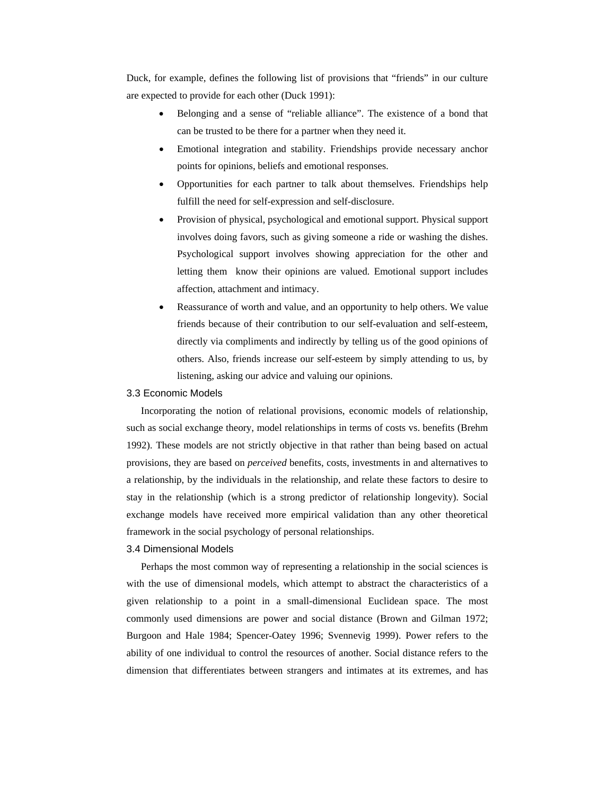Duck, for example, defines the following list of provisions that "friends" in our culture are expected to provide for each other (Duck 1991):

- Belonging and a sense of "reliable alliance". The existence of a bond that can be trusted to be there for a partner when they need it.
- Emotional integration and stability. Friendships provide necessary anchor points for opinions, beliefs and emotional responses.
- Opportunities for each partner to talk about themselves. Friendships help fulfill the need for self-expression and self-disclosure.
- Provision of physical, psychological and emotional support. Physical support involves doing favors, such as giving someone a ride or washing the dishes. Psychological support involves showing appreciation for the other and letting them know their opinions are valued. Emotional support includes affection, attachment and intimacy.
- Reassurance of worth and value, and an opportunity to help others. We value friends because of their contribution to our self-evaluation and self-esteem, directly via compliments and indirectly by telling us of the good opinions of others. Also, friends increase our self-esteem by simply attending to us, by listening, asking our advice and valuing our opinions.

# 3.3 Economic Models

Incorporating the notion of relational provisions, economic models of relationship, such as social exchange theory, model relationships in terms of costs vs. benefits (Brehm 1992). These models are not strictly objective in that rather than being based on actual provisions, they are based on *perceived* benefits, costs, investments in and alternatives to a relationship, by the individuals in the relationship, and relate these factors to desire to stay in the relationship (which is a strong predictor of relationship longevity). Social exchange models have received more empirical validation than any other theoretical framework in the social psychology of personal relationships.

#### 3.4 Dimensional Models

Perhaps the most common way of representing a relationship in the social sciences is with the use of dimensional models, which attempt to abstract the characteristics of a given relationship to a point in a small-dimensional Euclidean space. The most commonly used dimensions are power and social distance (Brown and Gilman 1972; Burgoon and Hale 1984; Spencer-Oatey 1996; Svennevig 1999). Power refers to the ability of one individual to control the resources of another. Social distance refers to the dimension that differentiates between strangers and intimates at its extremes, and has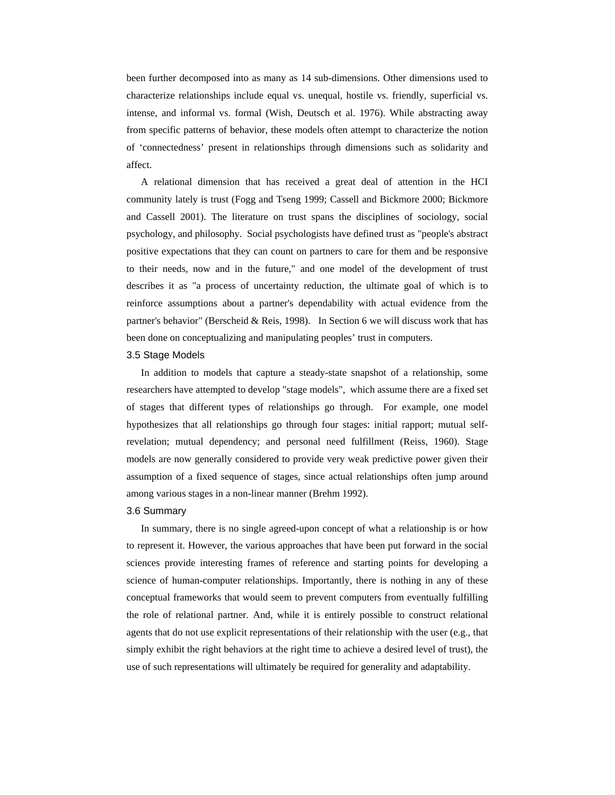been further decomposed into as many as 14 sub-dimensions. Other dimensions used to characterize relationships include equal vs. unequal, hostile vs. friendly, superficial vs. intense, and informal vs. formal (Wish, Deutsch et al. 1976). While abstracting away from specific patterns of behavior, these models often attempt to characterize the notion of 'connectedness' present in relationships through dimensions such as solidarity and affect.

A relational dimension that has received a great deal of attention in the HCI community lately is trust (Fogg and Tseng 1999; Cassell and Bickmore 2000; Bickmore and Cassell 2001). The literature on trust spans the disciplines of sociology, social psychology, and philosophy. Social psychologists have defined trust as "people's abstract positive expectations that they can count on partners to care for them and be responsive to their needs, now and in the future," and one model of the development of trust describes it as "a process of uncertainty reduction, the ultimate goal of which is to reinforce assumptions about a partner's dependability with actual evidence from the partner's behavior" (Berscheid & Reis, 1998). In Section 6 we will discuss work that has been done on conceptualizing and manipulating peoples' trust in computers.

#### 3.5 Stage Models

In addition to models that capture a steady-state snapshot of a relationship, some researchers have attempted to develop "stage models", which assume there are a fixed set of stages that different types of relationships go through. For example, one model hypothesizes that all relationships go through four stages: initial rapport; mutual selfrevelation; mutual dependency; and personal need fulfillment (Reiss, 1960). Stage models are now generally considered to provide very weak predictive power given their assumption of a fixed sequence of stages, since actual relationships often jump around among various stages in a non-linear manner (Brehm 1992).

#### 3.6 Summary

In summary, there is no single agreed-upon concept of what a relationship is or how to represent it. However, the various approaches that have been put forward in the social sciences provide interesting frames of reference and starting points for developing a science of human-computer relationships. Importantly, there is nothing in any of these conceptual frameworks that would seem to prevent computers from eventually fulfilling the role of relational partner. And, while it is entirely possible to construct relational agents that do not use explicit representations of their relationship with the user (e.g., that simply exhibit the right behaviors at the right time to achieve a desired level of trust), the use of such representations will ultimately be required for generality and adaptability.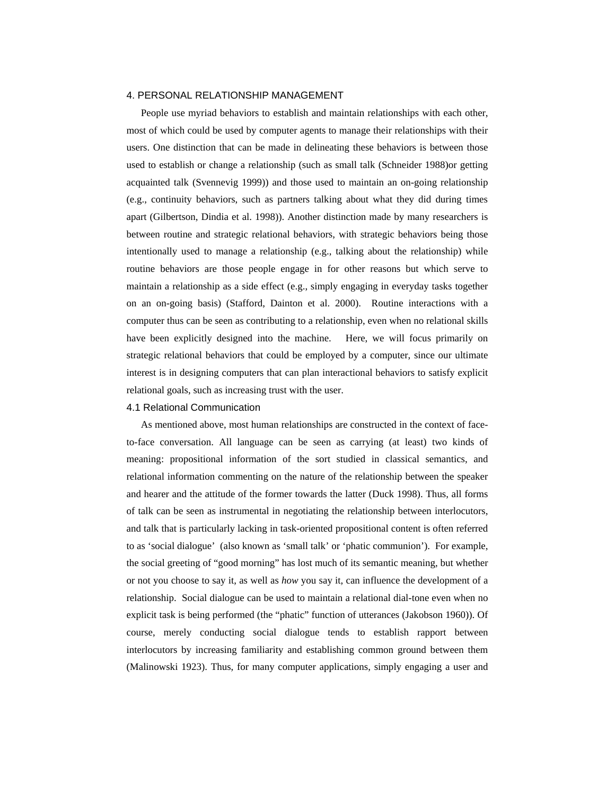#### 4. PERSONAL RELATIONSHIP MANAGEMENT

People use myriad behaviors to establish and maintain relationships with each other, most of which could be used by computer agents to manage their relationships with their users. One distinction that can be made in delineating these behaviors is between those used to establish or change a relationship (such as small talk (Schneider 1988)or getting acquainted talk (Svennevig 1999)) and those used to maintain an on-going relationship (e.g., continuity behaviors, such as partners talking about what they did during times apart (Gilbertson, Dindia et al. 1998)). Another distinction made by many researchers is between routine and strategic relational behaviors, with strategic behaviors being those intentionally used to manage a relationship (e.g., talking about the relationship) while routine behaviors are those people engage in for other reasons but which serve to maintain a relationship as a side effect (e.g., simply engaging in everyday tasks together on an on-going basis) (Stafford, Dainton et al. 2000). Routine interactions with a computer thus can be seen as contributing to a relationship, even when no relational skills have been explicitly designed into the machine. Here, we will focus primarily on strategic relational behaviors that could be employed by a computer, since our ultimate interest is in designing computers that can plan interactional behaviors to satisfy explicit relational goals, such as increasing trust with the user.

#### 4.1 Relational Communication

As mentioned above, most human relationships are constructed in the context of faceto-face conversation. All language can be seen as carrying (at least) two kinds of meaning: propositional information of the sort studied in classical semantics, and relational information commenting on the nature of the relationship between the speaker and hearer and the attitude of the former towards the latter (Duck 1998). Thus, all forms of talk can be seen as instrumental in negotiating the relationship between interlocutors, and talk that is particularly lacking in task-oriented propositional content is often referred to as 'social dialogue' (also known as 'small talk' or 'phatic communion'). For example, the social greeting of "good morning" has lost much of its semantic meaning, but whether or not you choose to say it, as well as *how* you say it, can influence the development of a relationship. Social dialogue can be used to maintain a relational dial-tone even when no explicit task is being performed (the "phatic" function of utterances (Jakobson 1960)). Of course, merely conducting social dialogue tends to establish rapport between interlocutors by increasing familiarity and establishing common ground between them (Malinowski 1923). Thus, for many computer applications, simply engaging a user and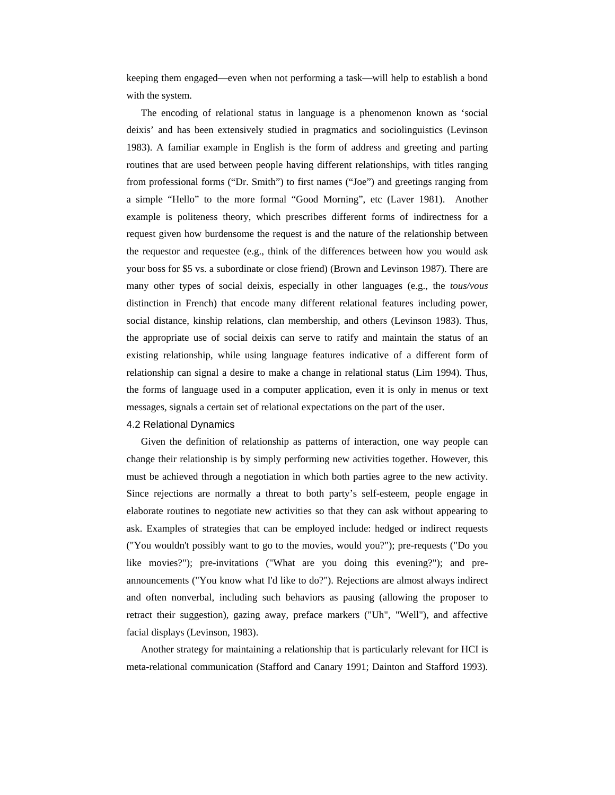keeping them engaged—even when not performing a task—will help to establish a bond with the system.

The encoding of relational status in language is a phenomenon known as 'social deixis' and has been extensively studied in pragmatics and sociolinguistics (Levinson 1983). A familiar example in English is the form of address and greeting and parting routines that are used between people having different relationships, with titles ranging from professional forms ("Dr. Smith") to first names ("Joe") and greetings ranging from a simple "Hello" to the more formal "Good Morning", etc (Laver 1981). Another example is politeness theory, which prescribes different forms of indirectness for a request given how burdensome the request is and the nature of the relationship between the requestor and requestee (e.g., think of the differences between how you would ask your boss for \$5 vs. a subordinate or close friend) (Brown and Levinson 1987). There are many other types of social deixis, especially in other languages (e.g., the *tous/vous* distinction in French) that encode many different relational features including power, social distance, kinship relations, clan membership, and others (Levinson 1983). Thus, the appropriate use of social deixis can serve to ratify and maintain the status of an existing relationship, while using language features indicative of a different form of relationship can signal a desire to make a change in relational status (Lim 1994). Thus, the forms of language used in a computer application, even it is only in menus or text messages, signals a certain set of relational expectations on the part of the user.

### 4.2 Relational Dynamics

Given the definition of relationship as patterns of interaction, one way people can change their relationship is by simply performing new activities together. However, this must be achieved through a negotiation in which both parties agree to the new activity. Since rejections are normally a threat to both party's self-esteem, people engage in elaborate routines to negotiate new activities so that they can ask without appearing to ask. Examples of strategies that can be employed include: hedged or indirect requests ("You wouldn't possibly want to go to the movies, would you?"); pre-requests ("Do you like movies?"); pre-invitations ("What are you doing this evening?"); and preannouncements ("You know what I'd like to do?"). Rejections are almost always indirect and often nonverbal, including such behaviors as pausing (allowing the proposer to retract their suggestion), gazing away, preface markers ("Uh", "Well"), and affective facial displays (Levinson, 1983).

Another strategy for maintaining a relationship that is particularly relevant for HCI is meta-relational communication (Stafford and Canary 1991; Dainton and Stafford 1993).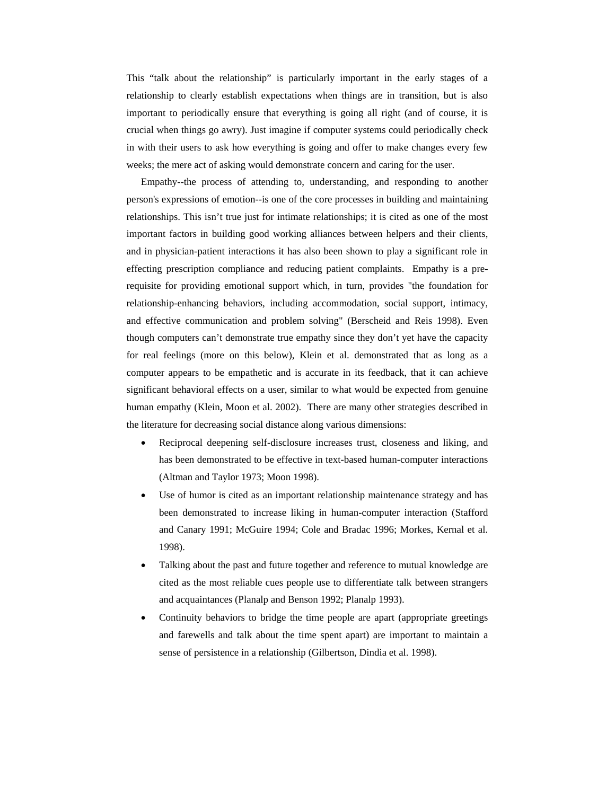This "talk about the relationship" is particularly important in the early stages of a relationship to clearly establish expectations when things are in transition, but is also important to periodically ensure that everything is going all right (and of course, it is crucial when things go awry). Just imagine if computer systems could periodically check in with their users to ask how everything is going and offer to make changes every few weeks; the mere act of asking would demonstrate concern and caring for the user.

Empathy--the process of attending to, understanding, and responding to another person's expressions of emotion--is one of the core processes in building and maintaining relationships. This isn't true just for intimate relationships; it is cited as one of the most important factors in building good working alliances between helpers and their clients, and in physician-patient interactions it has also been shown to play a significant role in effecting prescription compliance and reducing patient complaints. Empathy is a prerequisite for providing emotional support which, in turn, provides "the foundation for relationship-enhancing behaviors, including accommodation, social support, intimacy, and effective communication and problem solving" (Berscheid and Reis 1998). Even though computers can't demonstrate true empathy since they don't yet have the capacity for real feelings (more on this below), Klein et al. demonstrated that as long as a computer appears to be empathetic and is accurate in its feedback, that it can achieve significant behavioral effects on a user, similar to what would be expected from genuine human empathy (Klein, Moon et al. 2002). There are many other strategies described in the literature for decreasing social distance along various dimensions:

- Reciprocal deepening self-disclosure increases trust, closeness and liking, and has been demonstrated to be effective in text-based human-computer interactions (Altman and Taylor 1973; Moon 1998).
- Use of humor is cited as an important relationship maintenance strategy and has been demonstrated to increase liking in human-computer interaction (Stafford and Canary 1991; McGuire 1994; Cole and Bradac 1996; Morkes, Kernal et al. 1998).
- Talking about the past and future together and reference to mutual knowledge are cited as the most reliable cues people use to differentiate talk between strangers and acquaintances (Planalp and Benson 1992; Planalp 1993).
- Continuity behaviors to bridge the time people are apart (appropriate greetings and farewells and talk about the time spent apart) are important to maintain a sense of persistence in a relationship (Gilbertson, Dindia et al. 1998).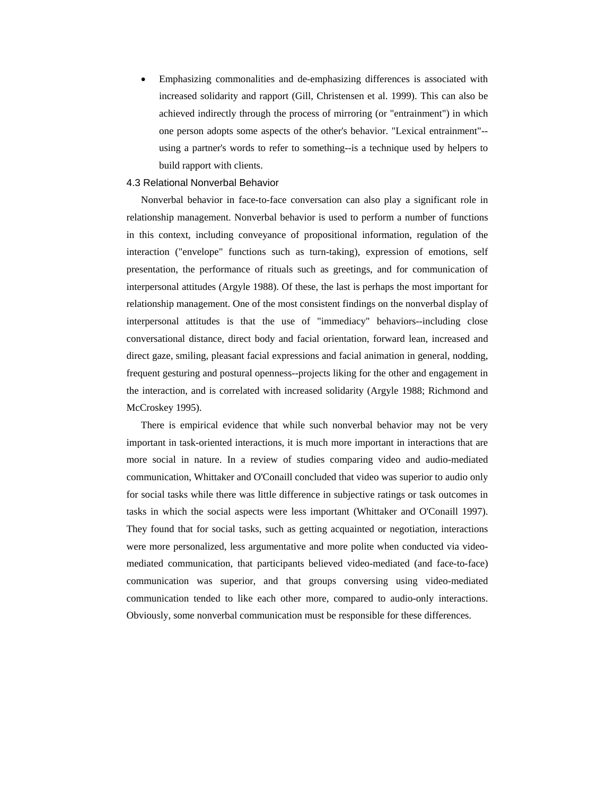• Emphasizing commonalities and de-emphasizing differences is associated with increased solidarity and rapport (Gill, Christensen et al. 1999). This can also be achieved indirectly through the process of mirroring (or "entrainment") in which one person adopts some aspects of the other's behavior. "Lexical entrainment"- using a partner's words to refer to something--is a technique used by helpers to build rapport with clients.

#### 4.3 Relational Nonverbal Behavior

Nonverbal behavior in face-to-face conversation can also play a significant role in relationship management. Nonverbal behavior is used to perform a number of functions in this context, including conveyance of propositional information, regulation of the interaction ("envelope" functions such as turn-taking), expression of emotions, self presentation, the performance of rituals such as greetings, and for communication of interpersonal attitudes (Argyle 1988). Of these, the last is perhaps the most important for relationship management. One of the most consistent findings on the nonverbal display of interpersonal attitudes is that the use of "immediacy" behaviors--including close conversational distance, direct body and facial orientation, forward lean, increased and direct gaze, smiling, pleasant facial expressions and facial animation in general, nodding, frequent gesturing and postural openness--projects liking for the other and engagement in the interaction, and is correlated with increased solidarity (Argyle 1988; Richmond and McCroskey 1995).

There is empirical evidence that while such nonverbal behavior may not be very important in task-oriented interactions, it is much more important in interactions that are more social in nature. In a review of studies comparing video and audio-mediated communication, Whittaker and O'Conaill concluded that video was superior to audio only for social tasks while there was little difference in subjective ratings or task outcomes in tasks in which the social aspects were less important (Whittaker and O'Conaill 1997). They found that for social tasks, such as getting acquainted or negotiation, interactions were more personalized, less argumentative and more polite when conducted via videomediated communication, that participants believed video-mediated (and face-to-face) communication was superior, and that groups conversing using video-mediated communication tended to like each other more, compared to audio-only interactions. Obviously, some nonverbal communication must be responsible for these differences.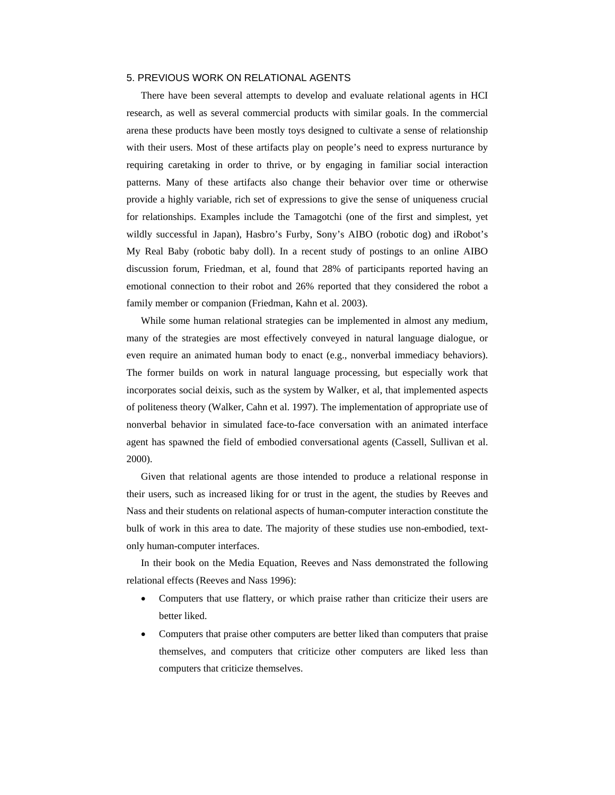# 5. PREVIOUS WORK ON RELATIONAL AGENTS

There have been several attempts to develop and evaluate relational agents in HCI research, as well as several commercial products with similar goals. In the commercial arena these products have been mostly toys designed to cultivate a sense of relationship with their users. Most of these artifacts play on people's need to express nurturance by requiring caretaking in order to thrive, or by engaging in familiar social interaction patterns. Many of these artifacts also change their behavior over time or otherwise provide a highly variable, rich set of expressions to give the sense of uniqueness crucial for relationships. Examples include the Tamagotchi (one of the first and simplest, yet wildly successful in Japan), Hasbro's Furby, Sony's AIBO (robotic dog) and iRobot's My Real Baby (robotic baby doll). In a recent study of postings to an online AIBO discussion forum, Friedman, et al, found that 28% of participants reported having an emotional connection to their robot and 26% reported that they considered the robot a family member or companion (Friedman, Kahn et al. 2003).

While some human relational strategies can be implemented in almost any medium, many of the strategies are most effectively conveyed in natural language dialogue, or even require an animated human body to enact (e.g., nonverbal immediacy behaviors). The former builds on work in natural language processing, but especially work that incorporates social deixis, such as the system by Walker, et al, that implemented aspects of politeness theory (Walker, Cahn et al. 1997). The implementation of appropriate use of nonverbal behavior in simulated face-to-face conversation with an animated interface agent has spawned the field of embodied conversational agents (Cassell, Sullivan et al. 2000).

Given that relational agents are those intended to produce a relational response in their users, such as increased liking for or trust in the agent, the studies by Reeves and Nass and their students on relational aspects of human-computer interaction constitute the bulk of work in this area to date. The majority of these studies use non-embodied, textonly human-computer interfaces.

In their book on the Media Equation, Reeves and Nass demonstrated the following relational effects (Reeves and Nass 1996):

- Computers that use flattery, or which praise rather than criticize their users are better liked.
- Computers that praise other computers are better liked than computers that praise themselves, and computers that criticize other computers are liked less than computers that criticize themselves.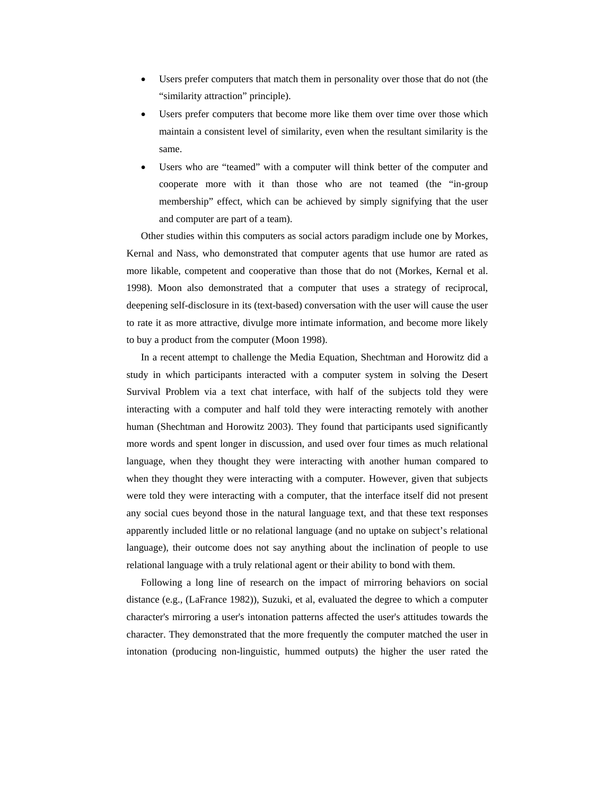- Users prefer computers that match them in personality over those that do not (the "similarity attraction" principle).
- Users prefer computers that become more like them over time over those which maintain a consistent level of similarity, even when the resultant similarity is the same.
- Users who are "teamed" with a computer will think better of the computer and cooperate more with it than those who are not teamed (the "in-group membership" effect, which can be achieved by simply signifying that the user and computer are part of a team).

Other studies within this computers as social actors paradigm include one by Morkes, Kernal and Nass, who demonstrated that computer agents that use humor are rated as more likable, competent and cooperative than those that do not (Morkes, Kernal et al. 1998). Moon also demonstrated that a computer that uses a strategy of reciprocal, deepening self-disclosure in its (text-based) conversation with the user will cause the user to rate it as more attractive, divulge more intimate information, and become more likely to buy a product from the computer (Moon 1998).

In a recent attempt to challenge the Media Equation, Shechtman and Horowitz did a study in which participants interacted with a computer system in solving the Desert Survival Problem via a text chat interface, with half of the subjects told they were interacting with a computer and half told they were interacting remotely with another human (Shechtman and Horowitz 2003). They found that participants used significantly more words and spent longer in discussion, and used over four times as much relational language, when they thought they were interacting with another human compared to when they thought they were interacting with a computer. However, given that subjects were told they were interacting with a computer, that the interface itself did not present any social cues beyond those in the natural language text, and that these text responses apparently included little or no relational language (and no uptake on subject's relational language), their outcome does not say anything about the inclination of people to use relational language with a truly relational agent or their ability to bond with them.

Following a long line of research on the impact of mirroring behaviors on social distance (e.g., (LaFrance 1982)), Suzuki, et al, evaluated the degree to which a computer character's mirroring a user's intonation patterns affected the user's attitudes towards the character. They demonstrated that the more frequently the computer matched the user in intonation (producing non-linguistic, hummed outputs) the higher the user rated the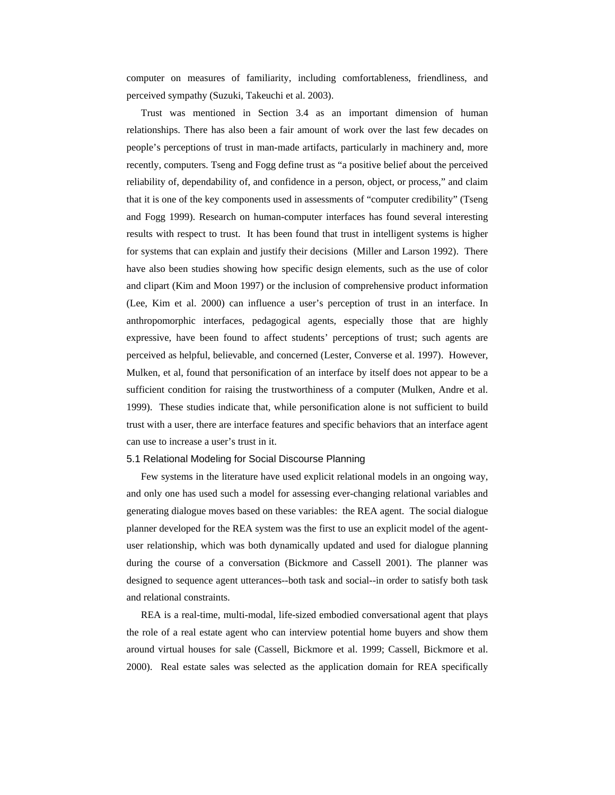computer on measures of familiarity, including comfortableness, friendliness, and perceived sympathy (Suzuki, Takeuchi et al. 2003).

Trust was mentioned in Section 3.4 as an important dimension of human relationships. There has also been a fair amount of work over the last few decades on people's perceptions of trust in man-made artifacts, particularly in machinery and, more recently, computers. Tseng and Fogg define trust as "a positive belief about the perceived reliability of, dependability of, and confidence in a person, object, or process," and claim that it is one of the key components used in assessments of "computer credibility" (Tseng and Fogg 1999). Research on human-computer interfaces has found several interesting results with respect to trust. It has been found that trust in intelligent systems is higher for systems that can explain and justify their decisions (Miller and Larson 1992). There have also been studies showing how specific design elements, such as the use of color and clipart (Kim and Moon 1997) or the inclusion of comprehensive product information (Lee, Kim et al. 2000) can influence a user's perception of trust in an interface. In anthropomorphic interfaces, pedagogical agents, especially those that are highly expressive, have been found to affect students' perceptions of trust; such agents are perceived as helpful, believable, and concerned (Lester, Converse et al. 1997). However, Mulken, et al, found that personification of an interface by itself does not appear to be a sufficient condition for raising the trustworthiness of a computer (Mulken, Andre et al. 1999). These studies indicate that, while personification alone is not sufficient to build trust with a user, there are interface features and specific behaviors that an interface agent can use to increase a user's trust in it.

#### 5.1 Relational Modeling for Social Discourse Planning

Few systems in the literature have used explicit relational models in an ongoing way, and only one has used such a model for assessing ever-changing relational variables and generating dialogue moves based on these variables: the REA agent. The social dialogue planner developed for the REA system was the first to use an explicit model of the agentuser relationship, which was both dynamically updated and used for dialogue planning during the course of a conversation (Bickmore and Cassell 2001). The planner was designed to sequence agent utterances--both task and social--in order to satisfy both task and relational constraints.

REA is a real-time, multi-modal, life-sized embodied conversational agent that plays the role of a real estate agent who can interview potential home buyers and show them around virtual houses for sale (Cassell, Bickmore et al. 1999; Cassell, Bickmore et al. 2000). Real estate sales was selected as the application domain for REA specifically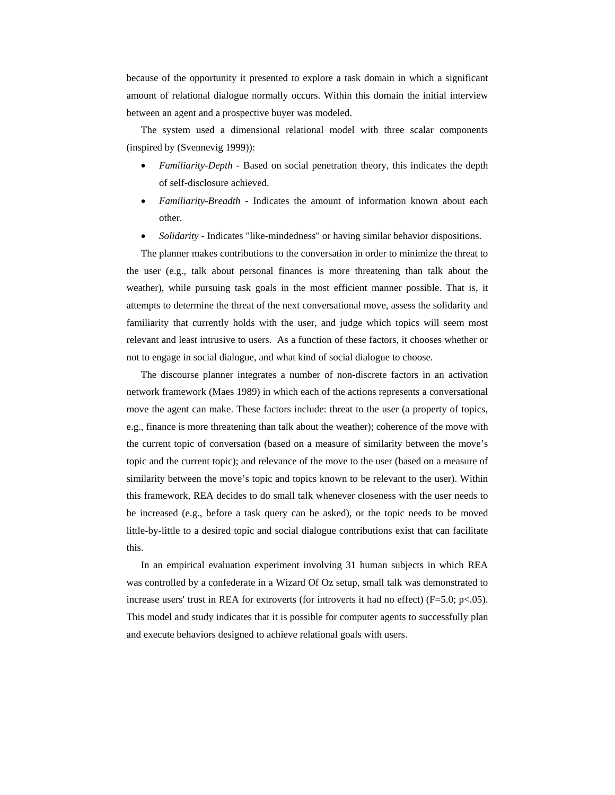because of the opportunity it presented to explore a task domain in which a significant amount of relational dialogue normally occurs. Within this domain the initial interview between an agent and a prospective buyer was modeled.

The system used a dimensional relational model with three scalar components (inspired by (Svennevig 1999)):

- *Familiarity-Depth* Based on social penetration theory, this indicates the depth of self-disclosure achieved.
- *Familiarity*-*Breadth* Indicates the amount of information known about each other.
- *Solidarity* Indicates "like-mindedness" or having similar behavior dispositions.

The planner makes contributions to the conversation in order to minimize the threat to the user (e.g., talk about personal finances is more threatening than talk about the weather), while pursuing task goals in the most efficient manner possible. That is, it attempts to determine the threat of the next conversational move, assess the solidarity and familiarity that currently holds with the user, and judge which topics will seem most relevant and least intrusive to users. As a function of these factors, it chooses whether or not to engage in social dialogue, and what kind of social dialogue to choose.

The discourse planner integrates a number of non-discrete factors in an activation network framework (Maes 1989) in which each of the actions represents a conversational move the agent can make. These factors include: threat to the user (a property of topics, e.g., finance is more threatening than talk about the weather); coherence of the move with the current topic of conversation (based on a measure of similarity between the move's topic and the current topic); and relevance of the move to the user (based on a measure of similarity between the move's topic and topics known to be relevant to the user). Within this framework, REA decides to do small talk whenever closeness with the user needs to be increased (e.g., before a task query can be asked), or the topic needs to be moved little-by-little to a desired topic and social dialogue contributions exist that can facilitate this.

In an empirical evaluation experiment involving 31 human subjects in which REA was controlled by a confederate in a Wizard Of Oz setup, small talk was demonstrated to increase users' trust in REA for extroverts (for introverts it had no effect) (F=5.0; p<.05). This model and study indicates that it is possible for computer agents to successfully plan and execute behaviors designed to achieve relational goals with users.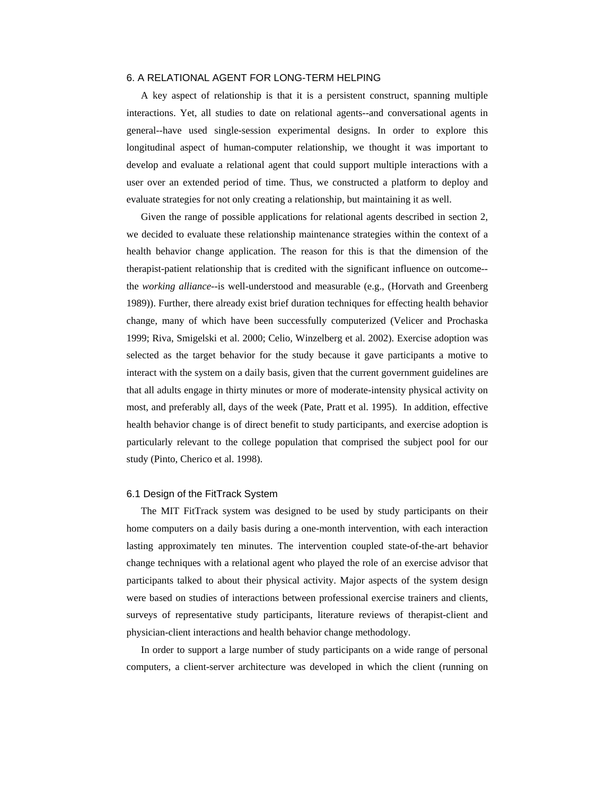#### 6. A RELATIONAL AGENT FOR LONG-TERM HELPING

A key aspect of relationship is that it is a persistent construct, spanning multiple interactions. Yet, all studies to date on relational agents--and conversational agents in general--have used single-session experimental designs. In order to explore this longitudinal aspect of human-computer relationship, we thought it was important to develop and evaluate a relational agent that could support multiple interactions with a user over an extended period of time. Thus, we constructed a platform to deploy and evaluate strategies for not only creating a relationship, but maintaining it as well.

Given the range of possible applications for relational agents described in section 2, we decided to evaluate these relationship maintenance strategies within the context of a health behavior change application. The reason for this is that the dimension of the therapist-patient relationship that is credited with the significant influence on outcome- the *working alliance*--is well-understood and measurable (e.g., (Horvath and Greenberg 1989)). Further, there already exist brief duration techniques for effecting health behavior change, many of which have been successfully computerized (Velicer and Prochaska 1999; Riva, Smigelski et al. 2000; Celio, Winzelberg et al. 2002). Exercise adoption was selected as the target behavior for the study because it gave participants a motive to interact with the system on a daily basis, given that the current government guidelines are that all adults engage in thirty minutes or more of moderate-intensity physical activity on most, and preferably all, days of the week (Pate, Pratt et al. 1995). In addition, effective health behavior change is of direct benefit to study participants, and exercise adoption is particularly relevant to the college population that comprised the subject pool for our study (Pinto, Cherico et al. 1998).

#### 6.1 Design of the FitTrack System

The MIT FitTrack system was designed to be used by study participants on their home computers on a daily basis during a one-month intervention, with each interaction lasting approximately ten minutes. The intervention coupled state-of-the-art behavior change techniques with a relational agent who played the role of an exercise advisor that participants talked to about their physical activity. Major aspects of the system design were based on studies of interactions between professional exercise trainers and clients, surveys of representative study participants, literature reviews of therapist-client and physician-client interactions and health behavior change methodology.

In order to support a large number of study participants on a wide range of personal computers, a client-server architecture was developed in which the client (running on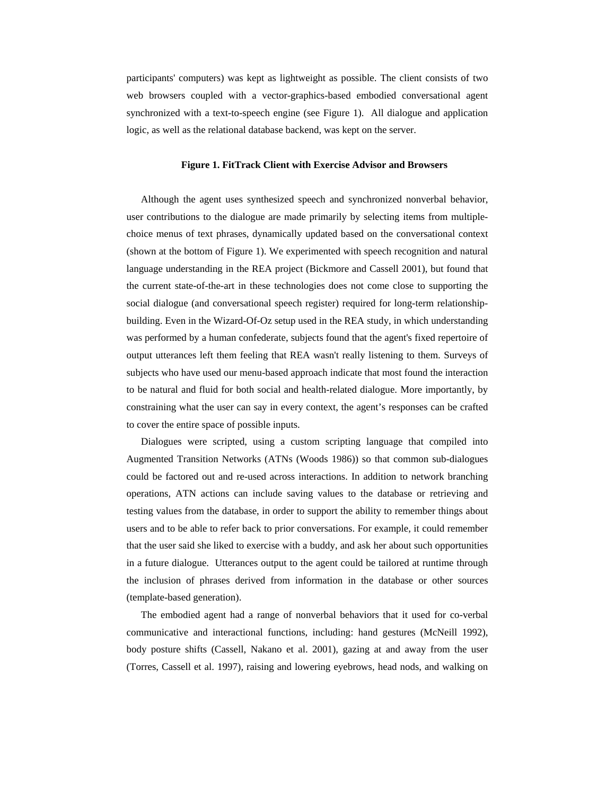participants' computers) was kept as lightweight as possible. The client consists of two web browsers coupled with a vector-graphics-based embodied conversational agent synchronized with a text-to-speech engine (see Figure 1). All dialogue and application logic, as well as the relational database backend, was kept on the server.

#### **Figure 1. FitTrack Client with Exercise Advisor and Browsers**

Although the agent uses synthesized speech and synchronized nonverbal behavior, user contributions to the dialogue are made primarily by selecting items from multiplechoice menus of text phrases, dynamically updated based on the conversational context (shown at the bottom of Figure 1). We experimented with speech recognition and natural language understanding in the REA project (Bickmore and Cassell 2001), but found that the current state-of-the-art in these technologies does not come close to supporting the social dialogue (and conversational speech register) required for long-term relationshipbuilding. Even in the Wizard-Of-Oz setup used in the REA study, in which understanding was performed by a human confederate, subjects found that the agent's fixed repertoire of output utterances left them feeling that REA wasn't really listening to them. Surveys of subjects who have used our menu-based approach indicate that most found the interaction to be natural and fluid for both social and health-related dialogue. More importantly, by constraining what the user can say in every context, the agent's responses can be crafted to cover the entire space of possible inputs.

Dialogues were scripted, using a custom scripting language that compiled into Augmented Transition Networks (ATNs (Woods 1986)) so that common sub-dialogues could be factored out and re-used across interactions. In addition to network branching operations, ATN actions can include saving values to the database or retrieving and testing values from the database, in order to support the ability to remember things about users and to be able to refer back to prior conversations. For example, it could remember that the user said she liked to exercise with a buddy, and ask her about such opportunities in a future dialogue. Utterances output to the agent could be tailored at runtime through the inclusion of phrases derived from information in the database or other sources (template-based generation).

The embodied agent had a range of nonverbal behaviors that it used for co-verbal communicative and interactional functions, including: hand gestures (McNeill 1992), body posture shifts (Cassell, Nakano et al. 2001), gazing at and away from the user (Torres, Cassell et al. 1997), raising and lowering eyebrows, head nods, and walking on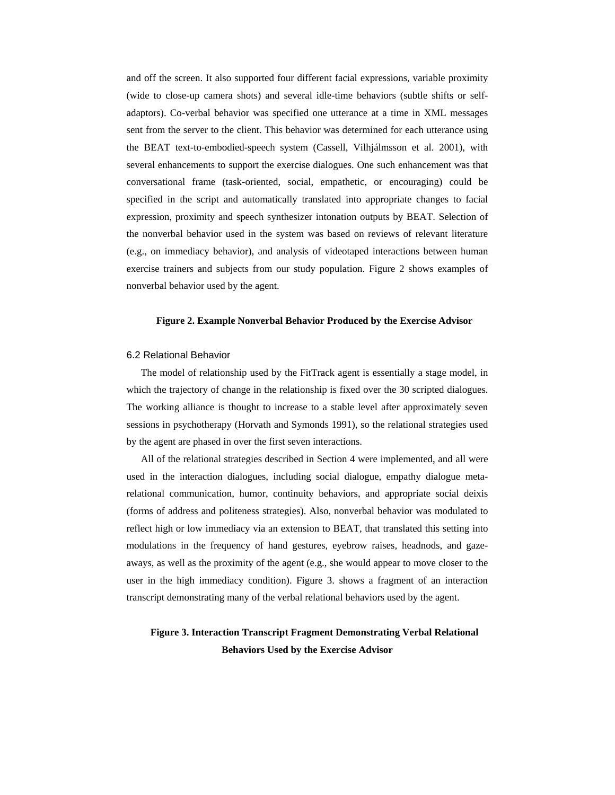and off the screen. It also supported four different facial expressions, variable proximity (wide to close-up camera shots) and several idle-time behaviors (subtle shifts or selfadaptors). Co-verbal behavior was specified one utterance at a time in XML messages sent from the server to the client. This behavior was determined for each utterance using the BEAT text-to-embodied-speech system (Cassell, Vilhjálmsson et al. 2001), with several enhancements to support the exercise dialogues. One such enhancement was that conversational frame (task-oriented, social, empathetic, or encouraging) could be specified in the script and automatically translated into appropriate changes to facial expression, proximity and speech synthesizer intonation outputs by BEAT. Selection of the nonverbal behavior used in the system was based on reviews of relevant literature (e.g., on immediacy behavior), and analysis of videotaped interactions between human exercise trainers and subjects from our study population. Figure 2 shows examples of nonverbal behavior used by the agent.

#### **Figure 2. Example Nonverbal Behavior Produced by the Exercise Advisor**

#### 6.2 Relational Behavior

The model of relationship used by the FitTrack agent is essentially a stage model, in which the trajectory of change in the relationship is fixed over the 30 scripted dialogues. The working alliance is thought to increase to a stable level after approximately seven sessions in psychotherapy (Horvath and Symonds 1991), so the relational strategies used by the agent are phased in over the first seven interactions.

All of the relational strategies described in Section 4 were implemented, and all were used in the interaction dialogues, including social dialogue, empathy dialogue metarelational communication, humor, continuity behaviors, and appropriate social deixis (forms of address and politeness strategies). Also, nonverbal behavior was modulated to reflect high or low immediacy via an extension to BEAT, that translated this setting into modulations in the frequency of hand gestures, eyebrow raises, headnods, and gazeaways, as well as the proximity of the agent (e.g., she would appear to move closer to the user in the high immediacy condition). Figure 3. shows a fragment of an interaction transcript demonstrating many of the verbal relational behaviors used by the agent.

# **Figure 3. Interaction Transcript Fragment Demonstrating Verbal Relational Behaviors Used by the Exercise Advisor**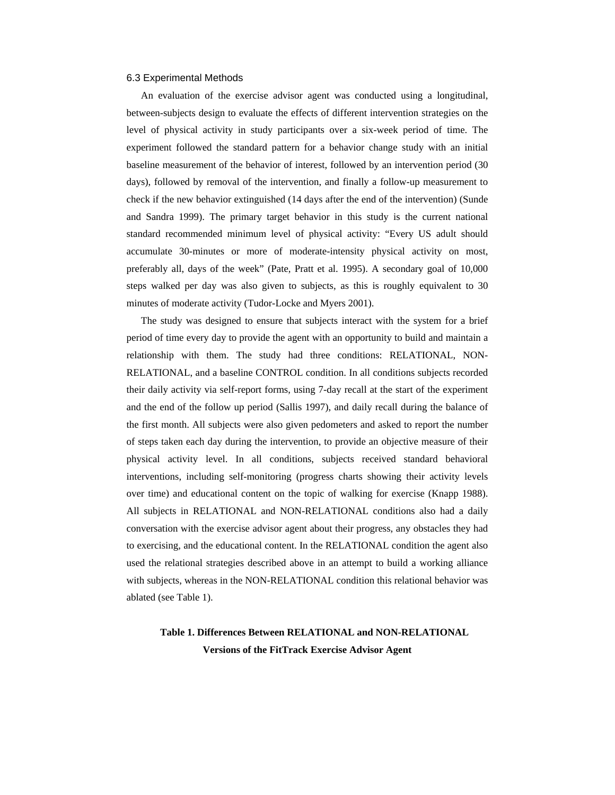#### 6.3 Experimental Methods

An evaluation of the exercise advisor agent was conducted using a longitudinal, between-subjects design to evaluate the effects of different intervention strategies on the level of physical activity in study participants over a six-week period of time. The experiment followed the standard pattern for a behavior change study with an initial baseline measurement of the behavior of interest, followed by an intervention period (30 days), followed by removal of the intervention, and finally a follow-up measurement to check if the new behavior extinguished (14 days after the end of the intervention) (Sunde and Sandra 1999). The primary target behavior in this study is the current national standard recommended minimum level of physical activity: "Every US adult should accumulate 30-minutes or more of moderate-intensity physical activity on most, preferably all, days of the week" (Pate, Pratt et al. 1995). A secondary goal of 10,000 steps walked per day was also given to subjects, as this is roughly equivalent to 30 minutes of moderate activity (Tudor-Locke and Myers 2001).

The study was designed to ensure that subjects interact with the system for a brief period of time every day to provide the agent with an opportunity to build and maintain a relationship with them. The study had three conditions: RELATIONAL, NON-RELATIONAL, and a baseline CONTROL condition. In all conditions subjects recorded their daily activity via self-report forms, using 7-day recall at the start of the experiment and the end of the follow up period (Sallis 1997), and daily recall during the balance of the first month. All subjects were also given pedometers and asked to report the number of steps taken each day during the intervention, to provide an objective measure of their physical activity level. In all conditions, subjects received standard behavioral interventions, including self-monitoring (progress charts showing their activity levels over time) and educational content on the topic of walking for exercise (Knapp 1988). All subjects in RELATIONAL and NON-RELATIONAL conditions also had a daily conversation with the exercise advisor agent about their progress, any obstacles they had to exercising, and the educational content. In the RELATIONAL condition the agent also used the relational strategies described above in an attempt to build a working alliance with subjects, whereas in the NON-RELATIONAL condition this relational behavior was ablated (see Table 1).

# **Table 1. Differences Between RELATIONAL and NON-RELATIONAL Versions of the FitTrack Exercise Advisor Agent**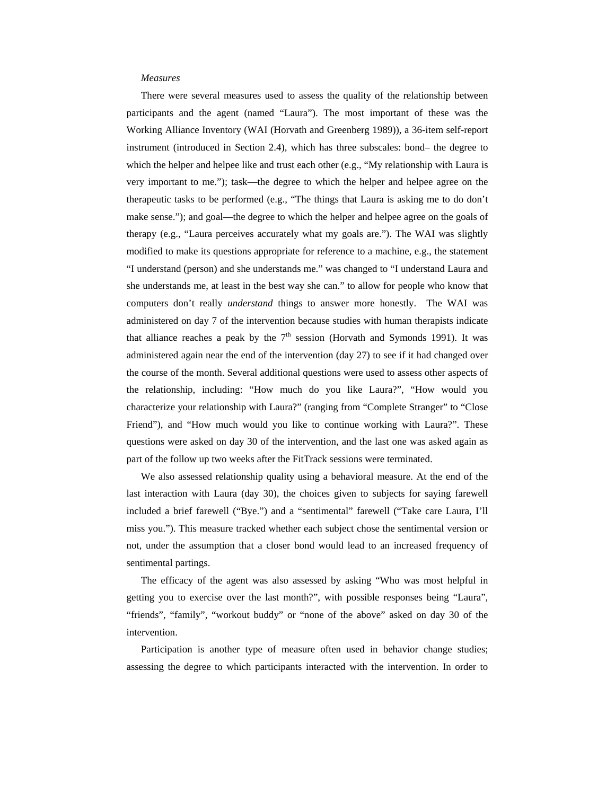#### *Measures*

There were several measures used to assess the quality of the relationship between participants and the agent (named "Laura"). The most important of these was the Working Alliance Inventory (WAI (Horvath and Greenberg 1989)), a 36-item self-report instrument (introduced in Section 2.4), which has three subscales: bond– the degree to which the helper and helpee like and trust each other (e.g., "My relationship with Laura is very important to me."); task—the degree to which the helper and helpee agree on the therapeutic tasks to be performed (e.g., "The things that Laura is asking me to do don't make sense."); and goal—the degree to which the helper and helpee agree on the goals of therapy (e.g., "Laura perceives accurately what my goals are."). The WAI was slightly modified to make its questions appropriate for reference to a machine, e.g., the statement "I understand (person) and she understands me." was changed to "I understand Laura and she understands me, at least in the best way she can." to allow for people who know that computers don't really *understand* things to answer more honestly. The WAI was administered on day 7 of the intervention because studies with human therapists indicate that alliance reaches a peak by the  $7<sup>th</sup>$  session (Horvath and Symonds 1991). It was administered again near the end of the intervention (day 27) to see if it had changed over the course of the month. Several additional questions were used to assess other aspects of the relationship, including: "How much do you like Laura?", "How would you characterize your relationship with Laura?" (ranging from "Complete Stranger" to "Close Friend"), and "How much would you like to continue working with Laura?". These questions were asked on day 30 of the intervention, and the last one was asked again as part of the follow up two weeks after the FitTrack sessions were terminated.

We also assessed relationship quality using a behavioral measure. At the end of the last interaction with Laura (day 30), the choices given to subjects for saying farewell included a brief farewell ("Bye.") and a "sentimental" farewell ("Take care Laura, I'll miss you."). This measure tracked whether each subject chose the sentimental version or not, under the assumption that a closer bond would lead to an increased frequency of sentimental partings.

The efficacy of the agent was also assessed by asking "Who was most helpful in getting you to exercise over the last month?", with possible responses being "Laura", "friends", "family", "workout buddy" or "none of the above" asked on day 30 of the intervention.

Participation is another type of measure often used in behavior change studies; assessing the degree to which participants interacted with the intervention. In order to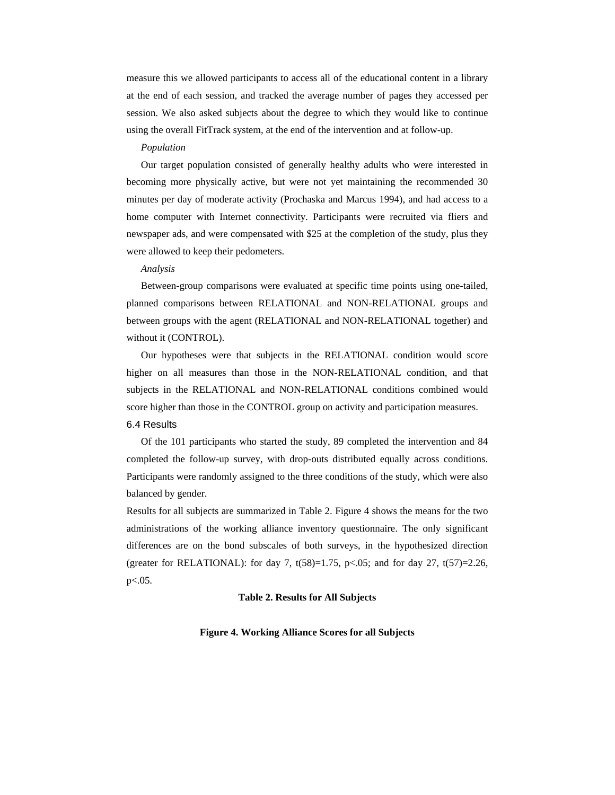measure this we allowed participants to access all of the educational content in a library at the end of each session, and tracked the average number of pages they accessed per session. We also asked subjects about the degree to which they would like to continue using the overall FitTrack system, at the end of the intervention and at follow-up.

#### *Population*

Our target population consisted of generally healthy adults who were interested in becoming more physically active, but were not yet maintaining the recommended 30 minutes per day of moderate activity (Prochaska and Marcus 1994), and had access to a home computer with Internet connectivity. Participants were recruited via fliers and newspaper ads, and were compensated with \$25 at the completion of the study, plus they were allowed to keep their pedometers.

#### *Analysis*

Between-group comparisons were evaluated at specific time points using one-tailed, planned comparisons between RELATIONAL and NON-RELATIONAL groups and between groups with the agent (RELATIONAL and NON-RELATIONAL together) and without it (CONTROL).

Our hypotheses were that subjects in the RELATIONAL condition would score higher on all measures than those in the NON-RELATIONAL condition, and that subjects in the RELATIONAL and NON-RELATIONAL conditions combined would score higher than those in the CONTROL group on activity and participation measures. 6.4 Results

Of the 101 participants who started the study, 89 completed the intervention and 84 completed the follow-up survey, with drop-outs distributed equally across conditions. Participants were randomly assigned to the three conditions of the study, which were also balanced by gender.

Results for all subjects are summarized in Table 2. Figure 4 shows the means for the two administrations of the working alliance inventory questionnaire. The only significant differences are on the bond subscales of both surveys, in the hypothesized direction (greater for RELATIONAL): for day 7,  $t(58)=1.75$ ,  $p<.05$ ; and for day 27,  $t(57)=2.26$ , p<.05.

#### **Table 2. Results for All Subjects**

# **Figure 4. Working Alliance Scores for all Subjects**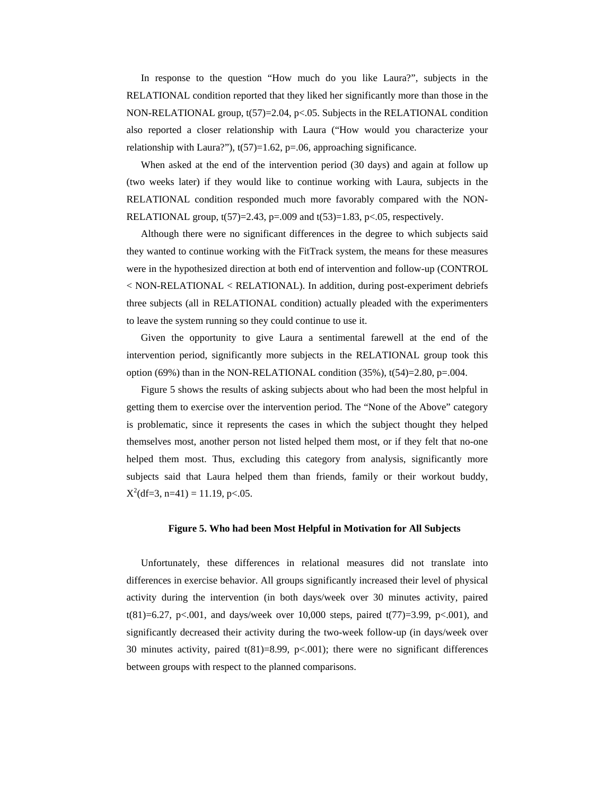In response to the question "How much do you like Laura?", subjects in the RELATIONAL condition reported that they liked her significantly more than those in the NON-RELATIONAL group, t(57)=2.04, p<.05. Subjects in the RELATIONAL condition also reported a closer relationship with Laura ("How would you characterize your relationship with Laura?"),  $t(57)=1.62$ ,  $p=.06$ , approaching significance.

When asked at the end of the intervention period (30 days) and again at follow up (two weeks later) if they would like to continue working with Laura, subjects in the RELATIONAL condition responded much more favorably compared with the NON-RELATIONAL group,  $t(57)=2.43$ ,  $p=.009$  and  $t(53)=1.83$ ,  $p(.05)$ , respectively.

Although there were no significant differences in the degree to which subjects said they wanted to continue working with the FitTrack system, the means for these measures were in the hypothesized direction at both end of intervention and follow-up (CONTROL < NON-RELATIONAL < RELATIONAL). In addition, during post-experiment debriefs three subjects (all in RELATIONAL condition) actually pleaded with the experimenters to leave the system running so they could continue to use it.

Given the opportunity to give Laura a sentimental farewell at the end of the intervention period, significantly more subjects in the RELATIONAL group took this option (69%) than in the NON-RELATIONAL condition (35%),  $t(54)=2.80$ ,  $p=.004$ .

Figure 5 shows the results of asking subjects about who had been the most helpful in getting them to exercise over the intervention period. The "None of the Above" category is problematic, since it represents the cases in which the subject thought they helped themselves most, another person not listed helped them most, or if they felt that no-one helped them most. Thus, excluding this category from analysis, significantly more subjects said that Laura helped them than friends, family or their workout buddy,  $X^2$ (df=3, n=41) = 11.19, p<.05.

#### **Figure 5. Who had been Most Helpful in Motivation for All Subjects**

Unfortunately, these differences in relational measures did not translate into differences in exercise behavior. All groups significantly increased their level of physical activity during the intervention (in both days/week over 30 minutes activity, paired t(81)=6.27, p<.001, and days/week over 10,000 steps, paired t(77)=3.99, p<.001), and significantly decreased their activity during the two-week follow-up (in days/week over 30 minutes activity, paired  $t(81)=8.99$ , p<.001); there were no significant differences between groups with respect to the planned comparisons.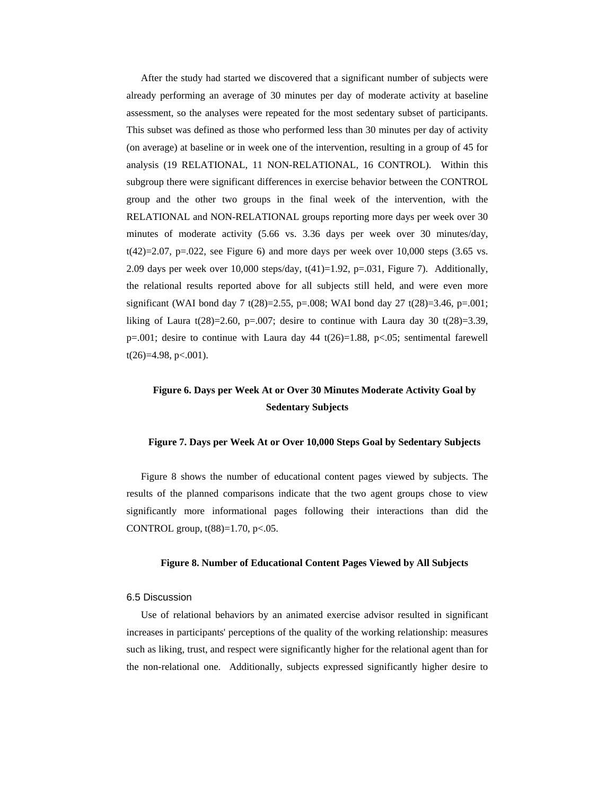After the study had started we discovered that a significant number of subjects were already performing an average of 30 minutes per day of moderate activity at baseline assessment, so the analyses were repeated for the most sedentary subset of participants. This subset was defined as those who performed less than 30 minutes per day of activity (on average) at baseline or in week one of the intervention, resulting in a group of 45 for analysis (19 RELATIONAL, 11 NON-RELATIONAL, 16 CONTROL). Within this subgroup there were significant differences in exercise behavior between the CONTROL group and the other two groups in the final week of the intervention, with the RELATIONAL and NON-RELATIONAL groups reporting more days per week over 30 minutes of moderate activity (5.66 vs. 3.36 days per week over 30 minutes/day,  $t(42)=2.07$ , p=.022, see Figure 6) and more days per week over 10,000 steps (3.65 vs. 2.09 days per week over 10,000 steps/day,  $t(41)=1.92$ ,  $p=0.031$ , Figure 7). Additionally, the relational results reported above for all subjects still held, and were even more significant (WAI bond day 7 t(28)=2.55, p=.008; WAI bond day 27 t(28)=3.46, p=.001; liking of Laura t(28)=2.60, p=.007; desire to continue with Laura day 30 t(28)=3.39,  $p=0.001$ ; desire to continue with Laura day 44 t(26)=1.88, p<.05; sentimental farewell  $t(26)=4.98$ , p $< .001$ ).

# **Figure 6. Days per Week At or Over 30 Minutes Moderate Activity Goal by Sedentary Subjects**

# **Figure 7. Days per Week At or Over 10,000 Steps Goal by Sedentary Subjects**

Figure 8 shows the number of educational content pages viewed by subjects. The results of the planned comparisons indicate that the two agent groups chose to view significantly more informational pages following their interactions than did the CONTROL group,  $t(88)=1.70$ ,  $p<.05$ .

## **Figure 8. Number of Educational Content Pages Viewed by All Subjects**

# 6.5 Discussion

Use of relational behaviors by an animated exercise advisor resulted in significant increases in participants' perceptions of the quality of the working relationship: measures such as liking, trust, and respect were significantly higher for the relational agent than for the non-relational one. Additionally, subjects expressed significantly higher desire to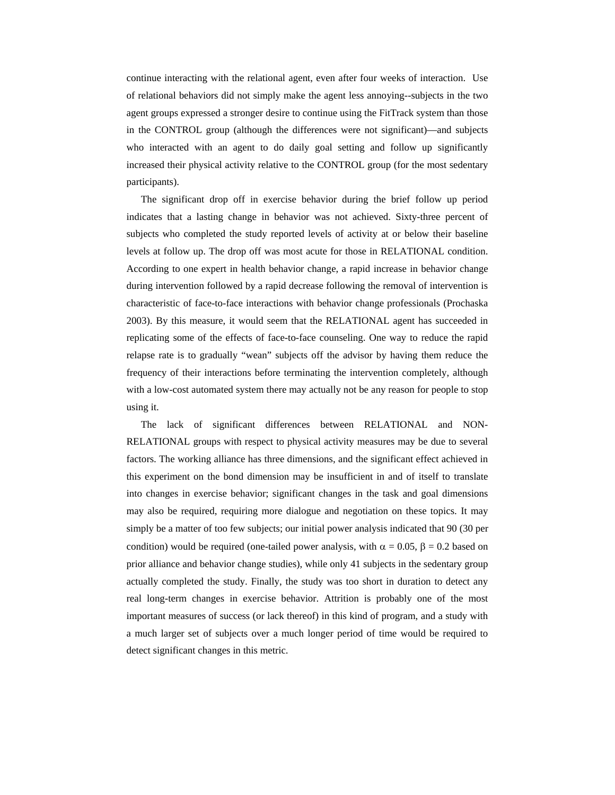continue interacting with the relational agent, even after four weeks of interaction. Use of relational behaviors did not simply make the agent less annoying--subjects in the two agent groups expressed a stronger desire to continue using the FitTrack system than those in the CONTROL group (although the differences were not significant)—and subjects who interacted with an agent to do daily goal setting and follow up significantly increased their physical activity relative to the CONTROL group (for the most sedentary participants).

The significant drop off in exercise behavior during the brief follow up period indicates that a lasting change in behavior was not achieved. Sixty-three percent of subjects who completed the study reported levels of activity at or below their baseline levels at follow up. The drop off was most acute for those in RELATIONAL condition. According to one expert in health behavior change, a rapid increase in behavior change during intervention followed by a rapid decrease following the removal of intervention is characteristic of face-to-face interactions with behavior change professionals (Prochaska 2003). By this measure, it would seem that the RELATIONAL agent has succeeded in replicating some of the effects of face-to-face counseling. One way to reduce the rapid relapse rate is to gradually "wean" subjects off the advisor by having them reduce the frequency of their interactions before terminating the intervention completely, although with a low-cost automated system there may actually not be any reason for people to stop using it.

The lack of significant differences between RELATIONAL and NON-RELATIONAL groups with respect to physical activity measures may be due to several factors. The working alliance has three dimensions, and the significant effect achieved in this experiment on the bond dimension may be insufficient in and of itself to translate into changes in exercise behavior; significant changes in the task and goal dimensions may also be required, requiring more dialogue and negotiation on these topics. It may simply be a matter of too few subjects; our initial power analysis indicated that 90 (30 per condition) would be required (one-tailed power analysis, with  $\alpha = 0.05$ ,  $\beta = 0.2$  based on prior alliance and behavior change studies), while only 41 subjects in the sedentary group actually completed the study. Finally, the study was too short in duration to detect any real long-term changes in exercise behavior. Attrition is probably one of the most important measures of success (or lack thereof) in this kind of program, and a study with a much larger set of subjects over a much longer period of time would be required to detect significant changes in this metric.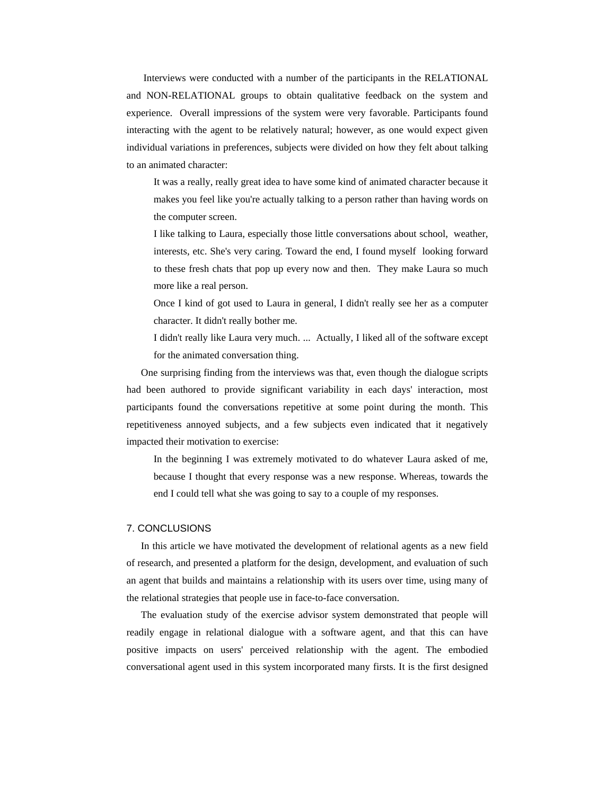Interviews were conducted with a number of the participants in the RELATIONAL and NON-RELATIONAL groups to obtain qualitative feedback on the system and experience. Overall impressions of the system were very favorable. Participants found interacting with the agent to be relatively natural; however, as one would expect given individual variations in preferences, subjects were divided on how they felt about talking to an animated character:

It was a really, really great idea to have some kind of animated character because it makes you feel like you're actually talking to a person rather than having words on the computer screen.

I like talking to Laura, especially those little conversations about school, weather, interests, etc. She's very caring. Toward the end, I found myself looking forward to these fresh chats that pop up every now and then. They make Laura so much more like a real person.

Once I kind of got used to Laura in general, I didn't really see her as a computer character. It didn't really bother me.

I didn't really like Laura very much. ... Actually, I liked all of the software except for the animated conversation thing.

One surprising finding from the interviews was that, even though the dialogue scripts had been authored to provide significant variability in each days' interaction, most participants found the conversations repetitive at some point during the month. This repetitiveness annoyed subjects, and a few subjects even indicated that it negatively impacted their motivation to exercise:

In the beginning I was extremely motivated to do whatever Laura asked of me, because I thought that every response was a new response. Whereas, towards the end I could tell what she was going to say to a couple of my responses.

#### 7. CONCLUSIONS

In this article we have motivated the development of relational agents as a new field of research, and presented a platform for the design, development, and evaluation of such an agent that builds and maintains a relationship with its users over time, using many of the relational strategies that people use in face-to-face conversation.

The evaluation study of the exercise advisor system demonstrated that people will readily engage in relational dialogue with a software agent, and that this can have positive impacts on users' perceived relationship with the agent. The embodied conversational agent used in this system incorporated many firsts. It is the first designed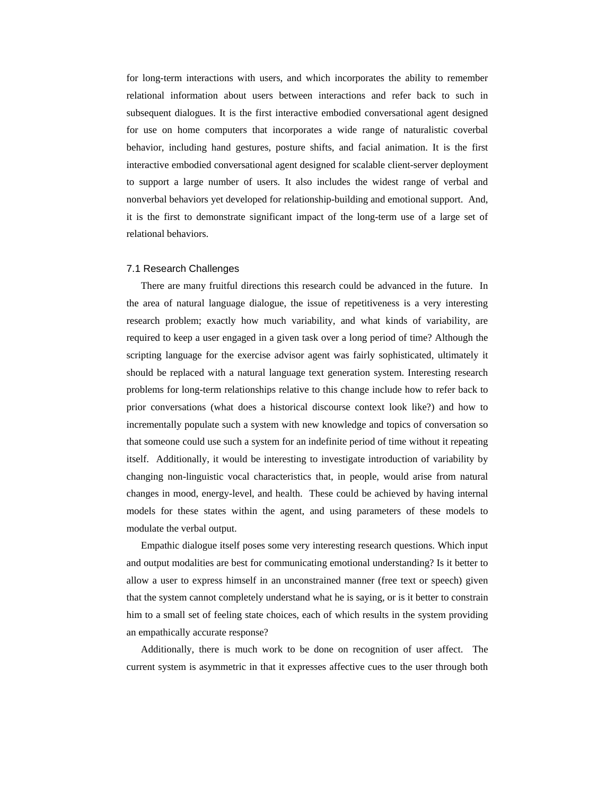for long-term interactions with users, and which incorporates the ability to remember relational information about users between interactions and refer back to such in subsequent dialogues. It is the first interactive embodied conversational agent designed for use on home computers that incorporates a wide range of naturalistic coverbal behavior, including hand gestures, posture shifts, and facial animation. It is the first interactive embodied conversational agent designed for scalable client-server deployment to support a large number of users. It also includes the widest range of verbal and nonverbal behaviors yet developed for relationship-building and emotional support. And, it is the first to demonstrate significant impact of the long-term use of a large set of relational behaviors.

# 7.1 Research Challenges

There are many fruitful directions this research could be advanced in the future. In the area of natural language dialogue, the issue of repetitiveness is a very interesting research problem; exactly how much variability, and what kinds of variability, are required to keep a user engaged in a given task over a long period of time? Although the scripting language for the exercise advisor agent was fairly sophisticated, ultimately it should be replaced with a natural language text generation system. Interesting research problems for long-term relationships relative to this change include how to refer back to prior conversations (what does a historical discourse context look like?) and how to incrementally populate such a system with new knowledge and topics of conversation so that someone could use such a system for an indefinite period of time without it repeating itself. Additionally, it would be interesting to investigate introduction of variability by changing non-linguistic vocal characteristics that, in people, would arise from natural changes in mood, energy-level, and health. These could be achieved by having internal models for these states within the agent, and using parameters of these models to modulate the verbal output.

Empathic dialogue itself poses some very interesting research questions. Which input and output modalities are best for communicating emotional understanding? Is it better to allow a user to express himself in an unconstrained manner (free text or speech) given that the system cannot completely understand what he is saying, or is it better to constrain him to a small set of feeling state choices, each of which results in the system providing an empathically accurate response?

Additionally, there is much work to be done on recognition of user affect. The current system is asymmetric in that it expresses affective cues to the user through both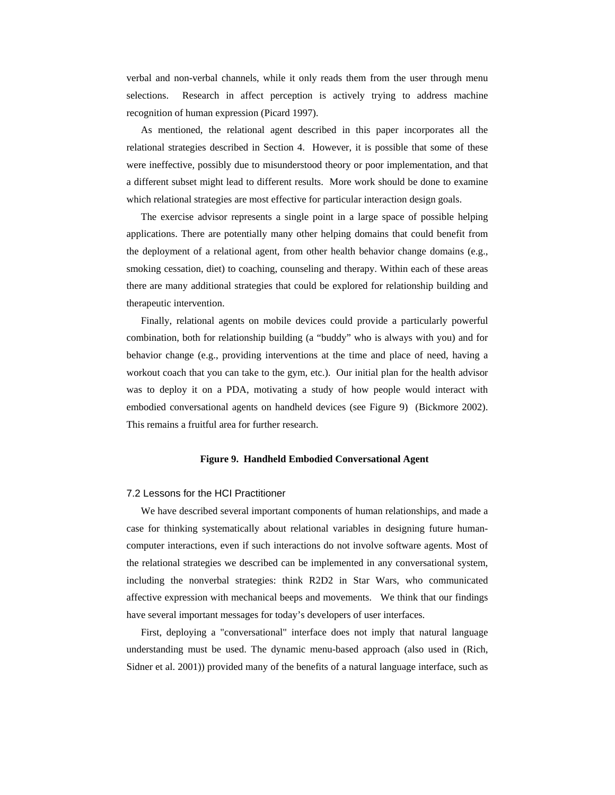verbal and non-verbal channels, while it only reads them from the user through menu selections. Research in affect perception is actively trying to address machine recognition of human expression (Picard 1997).

As mentioned, the relational agent described in this paper incorporates all the relational strategies described in Section 4. However, it is possible that some of these were ineffective, possibly due to misunderstood theory or poor implementation, and that a different subset might lead to different results. More work should be done to examine which relational strategies are most effective for particular interaction design goals.

The exercise advisor represents a single point in a large space of possible helping applications. There are potentially many other helping domains that could benefit from the deployment of a relational agent, from other health behavior change domains (e.g., smoking cessation, diet) to coaching, counseling and therapy. Within each of these areas there are many additional strategies that could be explored for relationship building and therapeutic intervention.

Finally, relational agents on mobile devices could provide a particularly powerful combination, both for relationship building (a "buddy" who is always with you) and for behavior change (e.g., providing interventions at the time and place of need, having a workout coach that you can take to the gym, etc.). Our initial plan for the health advisor was to deploy it on a PDA, motivating a study of how people would interact with embodied conversational agents on handheld devices (see Figure 9) (Bickmore 2002). This remains a fruitful area for further research.

### **Figure 9. Handheld Embodied Conversational Agent**

# 7.2 Lessons for the HCI Practitioner

We have described several important components of human relationships, and made a case for thinking systematically about relational variables in designing future humancomputer interactions, even if such interactions do not involve software agents. Most of the relational strategies we described can be implemented in any conversational system, including the nonverbal strategies: think R2D2 in Star Wars, who communicated affective expression with mechanical beeps and movements. We think that our findings have several important messages for today's developers of user interfaces.

First, deploying a "conversational" interface does not imply that natural language understanding must be used. The dynamic menu-based approach (also used in (Rich, Sidner et al. 2001)) provided many of the benefits of a natural language interface, such as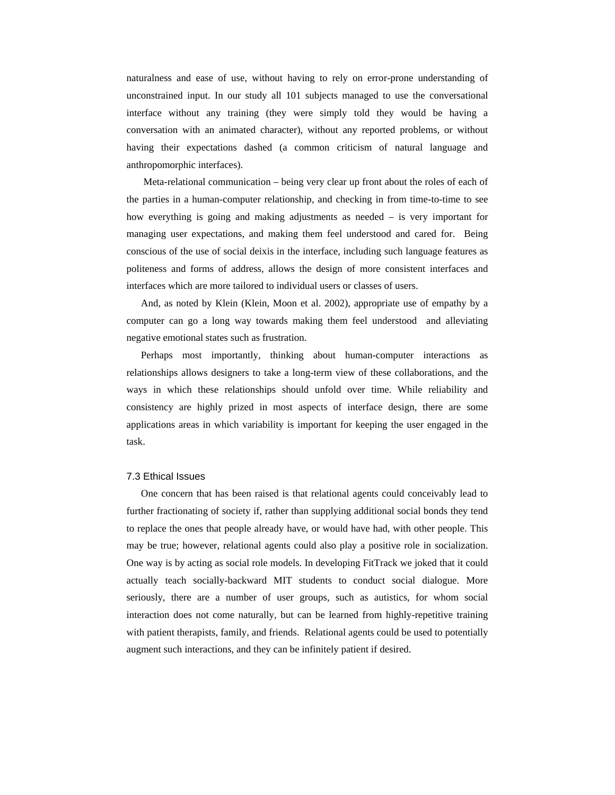naturalness and ease of use, without having to rely on error-prone understanding of unconstrained input. In our study all 101 subjects managed to use the conversational interface without any training (they were simply told they would be having a conversation with an animated character), without any reported problems, or without having their expectations dashed (a common criticism of natural language and anthropomorphic interfaces).

 Meta-relational communication – being very clear up front about the roles of each of the parties in a human-computer relationship, and checking in from time-to-time to see how everything is going and making adjustments as needed – is very important for managing user expectations, and making them feel understood and cared for. Being conscious of the use of social deixis in the interface, including such language features as politeness and forms of address, allows the design of more consistent interfaces and interfaces which are more tailored to individual users or classes of users.

And, as noted by Klein (Klein, Moon et al. 2002), appropriate use of empathy by a computer can go a long way towards making them feel understood and alleviating negative emotional states such as frustration.

Perhaps most importantly, thinking about human-computer interactions as relationships allows designers to take a long-term view of these collaborations, and the ways in which these relationships should unfold over time. While reliability and consistency are highly prized in most aspects of interface design, there are some applications areas in which variability is important for keeping the user engaged in the task.

#### 7.3 Ethical Issues

One concern that has been raised is that relational agents could conceivably lead to further fractionating of society if, rather than supplying additional social bonds they tend to replace the ones that people already have, or would have had, with other people. This may be true; however, relational agents could also play a positive role in socialization. One way is by acting as social role models. In developing FitTrack we joked that it could actually teach socially-backward MIT students to conduct social dialogue. More seriously, there are a number of user groups, such as autistics, for whom social interaction does not come naturally, but can be learned from highly-repetitive training with patient therapists, family, and friends. Relational agents could be used to potentially augment such interactions, and they can be infinitely patient if desired.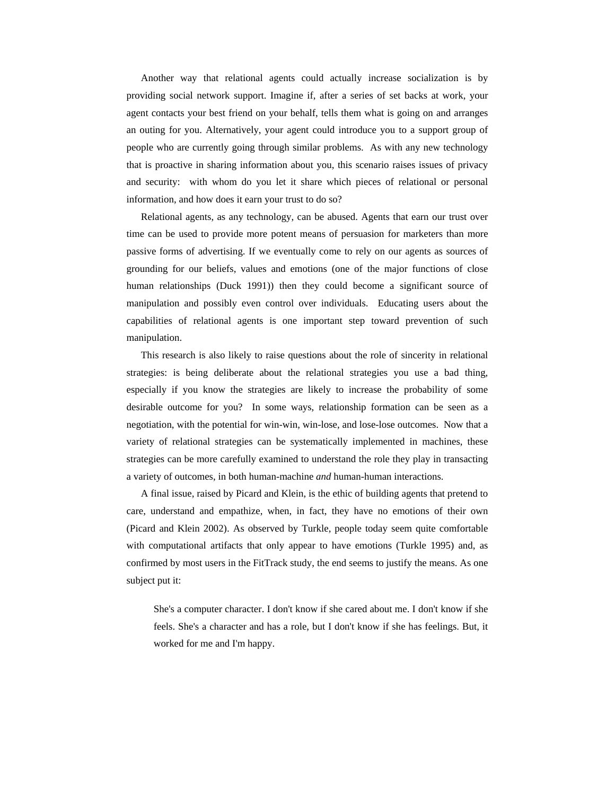Another way that relational agents could actually increase socialization is by providing social network support. Imagine if, after a series of set backs at work, your agent contacts your best friend on your behalf, tells them what is going on and arranges an outing for you. Alternatively, your agent could introduce you to a support group of people who are currently going through similar problems. As with any new technology that is proactive in sharing information about you, this scenario raises issues of privacy and security: with whom do you let it share which pieces of relational or personal information, and how does it earn your trust to do so?

Relational agents, as any technology, can be abused. Agents that earn our trust over time can be used to provide more potent means of persuasion for marketers than more passive forms of advertising. If we eventually come to rely on our agents as sources of grounding for our beliefs, values and emotions (one of the major functions of close human relationships (Duck 1991)) then they could become a significant source of manipulation and possibly even control over individuals. Educating users about the capabilities of relational agents is one important step toward prevention of such manipulation.

This research is also likely to raise questions about the role of sincerity in relational strategies: is being deliberate about the relational strategies you use a bad thing, especially if you know the strategies are likely to increase the probability of some desirable outcome for you? In some ways, relationship formation can be seen as a negotiation, with the potential for win-win, win-lose, and lose-lose outcomes. Now that a variety of relational strategies can be systematically implemented in machines, these strategies can be more carefully examined to understand the role they play in transacting a variety of outcomes, in both human-machine *and* human-human interactions.

A final issue, raised by Picard and Klein, is the ethic of building agents that pretend to care, understand and empathize, when, in fact, they have no emotions of their own (Picard and Klein 2002). As observed by Turkle, people today seem quite comfortable with computational artifacts that only appear to have emotions (Turkle 1995) and, as confirmed by most users in the FitTrack study, the end seems to justify the means. As one subject put it:

She's a computer character. I don't know if she cared about me. I don't know if she feels. She's a character and has a role, but I don't know if she has feelings. But, it worked for me and I'm happy.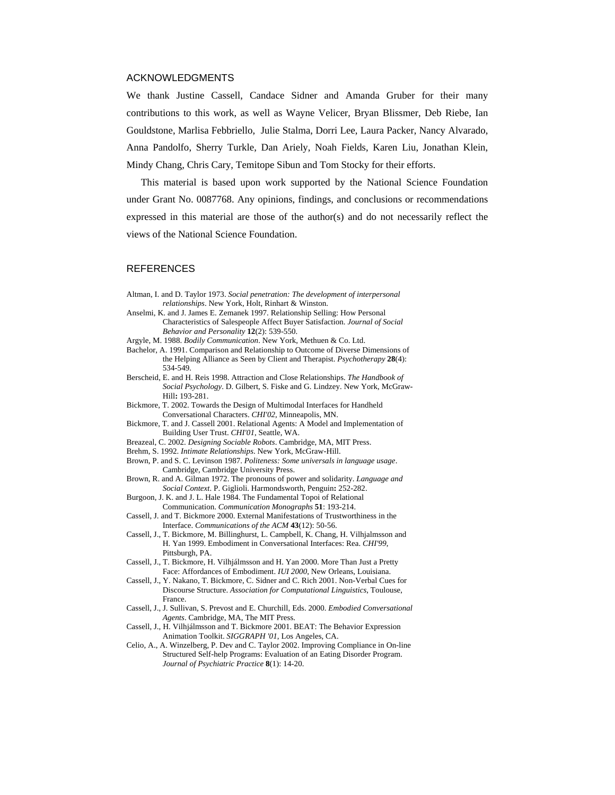#### ACKNOWLEDGMENTS

We thank Justine Cassell, Candace Sidner and Amanda Gruber for their many contributions to this work, as well as Wayne Velicer, Bryan Blissmer, Deb Riebe, Ian Gouldstone, Marlisa Febbriello, Julie Stalma, Dorri Lee, Laura Packer, Nancy Alvarado, Anna Pandolfo, Sherry Turkle, Dan Ariely, Noah Fields, Karen Liu, Jonathan Klein, Mindy Chang, Chris Cary, Temitope Sibun and Tom Stocky for their efforts.

This material is based upon work supported by the National Science Foundation under Grant No. 0087768. Any opinions, findings, and conclusions or recommendations expressed in this material are those of the author(s) and do not necessarily reflect the views of the National Science Foundation.

### REFERENCES

- Altman, I. and D. Taylor 1973. *Social penetration: The development of interpersonal relationships*. New York, Holt, Rinhart & Winston.
- Anselmi, K. and J. James E. Zemanek 1997. Relationship Selling: How Personal Characteristics of Salespeople Affect Buyer Satisfaction. *Journal of Social Behavior and Personality* **12**(2): 539-550.
- Argyle, M. 1988. *Bodily Communication*. New York, Methuen & Co. Ltd.

Bachelor, A. 1991. Comparison and Relationship to Outcome of Diverse Dimensions of the Helping Alliance as Seen by Client and Therapist. *Psychotherapy* **28**(4): 534-549.

- Berscheid, E. and H. Reis 1998. Attraction and Close Relationships. *The Handbook of Social Psychology*. D. Gilbert, S. Fiske and G. Lindzey. New York, McGraw-Hill**:** 193-281.
- Bickmore, T. 2002. Towards the Design of Multimodal Interfaces for Handheld Conversational Characters. *CHI'02*, Minneapolis, MN.
- Bickmore, T. and J. Cassell 2001. Relational Agents: A Model and Implementation of Building User Trust. *CHI'01*, Seattle, WA.
- Breazeal, C. 2002. *Designing Sociable Robots*. Cambridge, MA, MIT Press.
- Brehm, S. 1992. *Intimate Relationships*. New York, McGraw-Hill.
- Brown, P. and S. C. Levinson 1987. *Politeness: Some universals in language usage*. Cambridge, Cambridge University Press.
- Brown, R. and A. Gilman 1972. The pronouns of power and solidarity. *Language and Social Context*. P. Giglioli. Harmondsworth, Penguin**:** 252-282.
- Burgoon, J. K. and J. L. Hale 1984. The Fundamental Topoi of Relational Communication. *Communication Monographs* **51**: 193-214.
- Cassell, J. and T. Bickmore 2000. External Manifestations of Trustworthiness in the Interface. *Communications of the ACM* **43**(12): 50-56.
- Cassell, J., T. Bickmore, M. Billinghurst, L. Campbell, K. Chang, H. Vilhjalmsson and H. Yan 1999. Embodiment in Conversational Interfaces: Rea. *CHI'99*, Pittsburgh, PA.
- Cassell, J., T. Bickmore, H. Vilhjálmsson and H. Yan 2000. More Than Just a Pretty Face: Affordances of Embodiment. *IUI 2000*, New Orleans, Louisiana.
- Cassell, J., Y. Nakano, T. Bickmore, C. Sidner and C. Rich 2001. Non-Verbal Cues for Discourse Structure. *Association for Computational Linguistics*, Toulouse, France.
- Cassell, J., J. Sullivan, S. Prevost and E. Churchill, Eds. 2000. *Embodied Conversational Agents*. Cambridge, MA, The MIT Press.
- Cassell, J., H. Vilhjálmsson and T. Bickmore 2001. BEAT: The Behavior Expression Animation Toolkit. *SIGGRAPH '01*, Los Angeles, CA.
- Celio, A., A. Winzelberg, P. Dev and C. Taylor 2002. Improving Compliance in On-line Structured Self-help Programs: Evaluation of an Eating Disorder Program. *Journal of Psychiatric Practice* **8**(1): 14-20.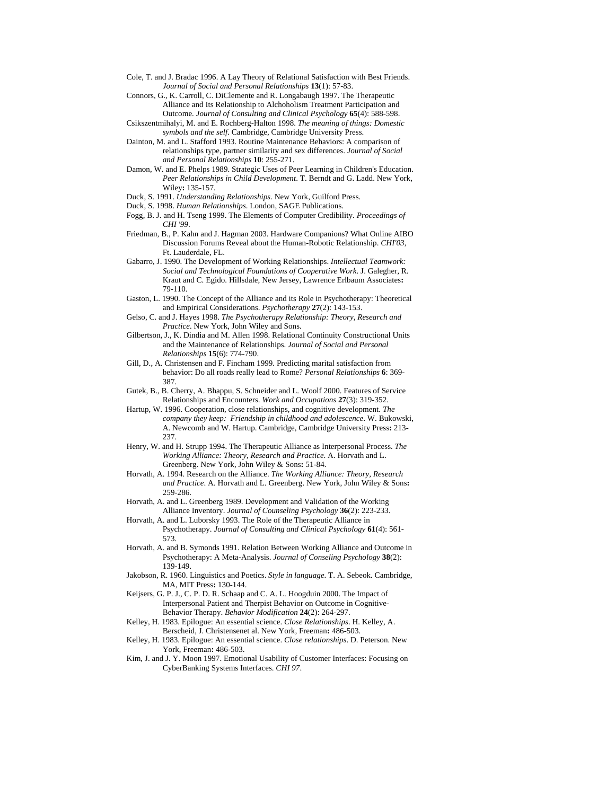- Cole, T. and J. Bradac 1996. A Lay Theory of Relational Satisfaction with Best Friends. *Journal of Social and Personal Relationships* **13**(1): 57-83.
- Connors, G., K. Carroll, C. DiClemente and R. Longabaugh 1997. The Therapeutic Alliance and Its Relationship to Alchoholism Treatment Participation and Outcome. *Journal of Consulting and Clinical Psychology* **65**(4): 588-598.

Csikszentmihalyi, M. and E. Rochberg-Halton 1998. *The meaning of things: Domestic symbols and the self*. Cambridge, Cambridge University Press.

- Dainton, M. and L. Stafford 1993. Routine Maintenance Behaviors: A comparison of relationships type, partner similarity and sex differences. *Journal of Social and Personal Relationships* **10**: 255-271.
- Damon, W. and E. Phelps 1989. Strategic Uses of Peer Learning in Children's Education. *Peer Relationships in Child Development*. T. Berndt and G. Ladd. New York, Wiley**:** 135-157.
- Duck, S. 1991. *Understanding Relationships*. New York, Guilford Press.
- Duck, S. 1998. *Human Relationships*. London, SAGE Publications.
- Fogg, B. J. and H. Tseng 1999. The Elements of Computer Credibility. *Proceedings of CHI '99*.
- Friedman, B., P. Kahn and J. Hagman 2003. Hardware Companions? What Online AIBO Discussion Forums Reveal about the Human-Robotic Relationship. *CHI'03*, Ft. Lauderdale, FL.
- Gabarro, J. 1990. The Development of Working Relationships. *Intellectual Teamwork: Social and Technological Foundations of Cooperative Work*. J. Galegher, R. Kraut and C. Egido. Hillsdale, New Jersey, Lawrence Erlbaum Associates**:**  79-110.
- Gaston, L. 1990. The Concept of the Alliance and its Role in Psychotherapy: Theoretical and Empirical Considerations. *Psychotherapy* **27**(2): 143-153.
- Gelso, C. and J. Hayes 1998. *The Psychotherapy Relationship: Theory, Research and Practice*. New York, John Wiley and Sons.
- Gilbertson, J., K. Dindia and M. Allen 1998. Relational Continuity Constructional Units and the Maintenance of Relationships. *Journal of Social and Personal Relationships* **15**(6): 774-790.
- Gill, D., A. Christensen and F. Fincham 1999. Predicting marital satisfaction from behavior: Do all roads really lead to Rome? *Personal Relationships* **6**: 369- 387.
- Gutek, B., B. Cherry, A. Bhappu, S. Schneider and L. Woolf 2000. Features of Service Relationships and Encounters. *Work and Occupations* **27**(3): 319-352.
- Hartup, W. 1996. Cooperation, close relationships, and cognitive development. *The company they keep: Friendship in childhood and adolescence*. W. Bukowski, A. Newcomb and W. Hartup. Cambridge, Cambridge University Press**:** 213- 237.
- Henry, W. and H. Strupp 1994. The Therapeutic Alliance as Interpersonal Process. *The Working Alliance: Theory, Research and Practice*. A. Horvath and L. Greenberg. New York, John Wiley & Sons**:** 51-84.
- Horvath, A. 1994. Research on the Alliance. *The Working Alliance: Theory, Research and Practice*. A. Horvath and L. Greenberg. New York, John Wiley & Sons**:**  259-286.
- Horvath, A. and L. Greenberg 1989. Development and Validation of the Working Alliance Inventory. *Journal of Counseling Psychology* **36**(2): 223-233.
- Horvath, A. and L. Luborsky 1993. The Role of the Therapeutic Alliance in Psychotherapy. *Journal of Consulting and Clinical Psychology* **61**(4): 561- 573.
- Horvath, A. and B. Symonds 1991. Relation Between Working Alliance and Outcome in Psychotherapy: A Meta-Analysis. *Journal of Conseling Psychology* **38**(2): 139-149.
- Jakobson, R. 1960. Linguistics and Poetics. *Style in language*. T. A. Sebeok. Cambridge, MA, MIT Press**:** 130-144.
- Keijsers, G. P. J., C. P. D. R. Schaap and C. A. L. Hoogduin 2000. The Impact of Interpersonal Patient and Therpist Behavior on Outcome in Cognitive-Behavior Therapy. *Behavior Modification* **24**(2): 264-297.
- Kelley, H. 1983. Epilogue: An essential science. *Close Relationships*. H. Kelley, A. Berscheid, J. Christensenet al. New York, Freeman**:** 486-503.
- Kelley, H. 1983. Epilogue: An essential science. *Close relationships*. D. Peterson. New York, Freeman**:** 486-503.
- Kim, J. and J. Y. Moon 1997. Emotional Usability of Customer Interfaces: Focusing on CyberBanking Systems Interfaces. *CHI 97*.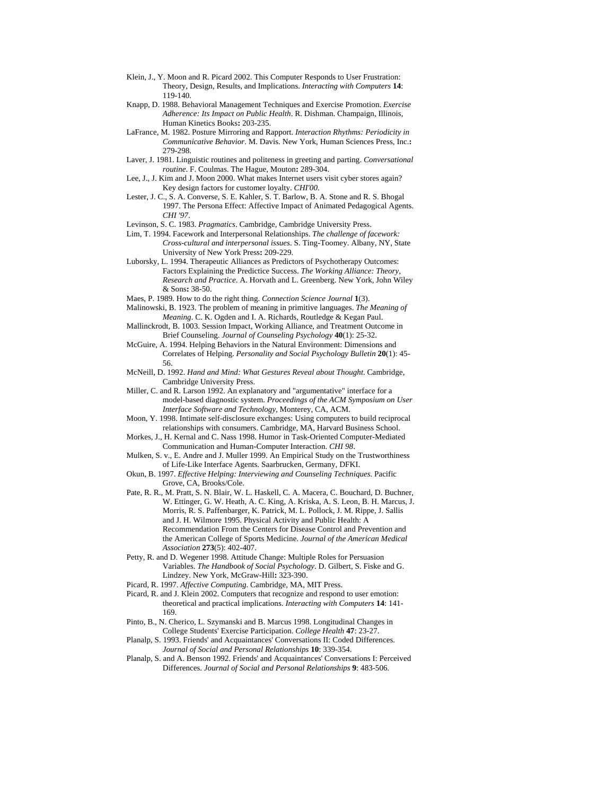- Klein, J., Y. Moon and R. Picard 2002. This Computer Responds to User Frustration: Theory, Design, Results, and Implications. *Interacting with Computers* **14**: 119-140.
- Knapp, D. 1988. Behavioral Management Techniques and Exercise Promotion. *Exercise Adherence: Its Impact on Public Health*. R. Dishman. Champaign, Illinois, Human Kinetics Books**:** 203-235.
- LaFrance, M. 1982. Posture Mirroring and Rapport. *Interaction Rhythms: Periodicity in Communicative Behavior*. M. Davis. New York, Human Sciences Press, Inc.**:**  279-298.
- Laver, J. 1981. Linguistic routines and politeness in greeting and parting. *Conversational routine*. F. Coulmas. The Hague, Mouton**:** 289-304.
- Lee, J., J. Kim and J. Moon 2000. What makes Internet users visit cyber stores again? Key design factors for customer loyalty. *CHI'00*.
- Lester, J. C., S. A. Converse, S. E. Kahler, S. T. Barlow, B. A. Stone and R. S. Bhogal 1997. The Persona Effect: Affective Impact of Animated Pedagogical Agents. *CHI '97*.
- Levinson, S. C. 1983. *Pragmatics*. Cambridge, Cambridge University Press.
- Lim, T. 1994. Facework and Interpersonal Relationships. *The challenge of facework: Cross-cultural and interpersonal issues*. S. Ting-Toomey. Albany, NY, State University of New York Press**:** 209-229.
- Luborsky, L. 1994. Therapeutic Alliances as Predictors of Psychotherapy Outcomes: Factors Explaining the Predictice Success. *The Working Alliance: Theory, Research and Practice*. A. Horvath and L. Greenberg. New York, John Wiley & Sons**:** 38-50.
- Maes, P. 1989. How to do the right thing. *Connection Science Journal* **1**(3).
- Malinowski, B. 1923. The problem of meaning in primitive languages. *The Meaning of Meaning*. C. K. Ogden and I. A. Richards, Routledge & Kegan Paul.
- Mallinckrodt, B. 1003. Session Impact, Working Alliance, and Treatment Outcome in Brief Counseling. *Journal of Counseling Psychology* **40**(1): 25-32.
- McGuire, A. 1994. Helping Behaviors in the Natural Environment: Dimensions and Correlates of Helping. *Personality and Social Psychology Bulletin* **20**(1): 45- 56.
- McNeill, D. 1992. *Hand and Mind: What Gestures Reveal about Thought*. Cambridge, Cambridge University Press.
- Miller, C. and R. Larson 1992. An explanatory and "argumentative" interface for a model-based diagnostic system. *Proceedings of the ACM Symposium on User Interface Software and Technology*, Monterey, CA, ACM.
- Moon, Y. 1998. Intimate self-disclosure exchanges: Using computers to build reciprocal relationships with consumers. Cambridge, MA, Harvard Business School.
- Morkes, J., H. Kernal and C. Nass 1998. Humor in Task-Oriented Computer-Mediated Communication and Human-Computer Interaction. *CHI 98*.
- Mulken, S. v., E. Andre and J. Muller 1999. An Empirical Study on the Trustworthiness of Life-Like Interface Agents. Saarbrucken, Germany, DFKI.
- Okun, B. 1997. *Effective Helping: Interviewing and Counseling Techniques*. Pacific Grove, CA, Brooks/Cole.
- Pate, R. R., M. Pratt, S. N. Blair, W. L. Haskell, C. A. Macera, C. Bouchard, D. Buchner, W. Ettinger, G. W. Heath, A. C. King, A. Kriska, A. S. Leon, B. H. Marcus, J. Morris, R. S. Paffenbarger, K. Patrick, M. L. Pollock, J. M. Rippe, J. Sallis and J. H. Wilmore 1995. Physical Activity and Public Health: A Recommendation From the Centers for Disease Control and Prevention and the American College of Sports Medicine. *Journal of the American Medical Association* **273**(5): 402-407.
- Petty, R. and D. Wegener 1998. Attitude Change: Multiple Roles for Persuasion Variables. *The Handbook of Social Psychology*. D. Gilbert, S. Fiske and G. Lindzey. New York, McGraw-Hill**:** 323-390.
- Picard, R. 1997. *Affective Computing*. Cambridge, MA, MIT Press.
- Picard, R. and J. Klein 2002. Computers that recognize and respond to user emotion: theoretical and practical implications. *Interacting with Computers* **14**: 141- 169.
- Pinto, B., N. Cherico, L. Szymanski and B. Marcus 1998. Longitudinal Changes in College Students' Exercise Participation. *College Health* **47**: 23-27.
- Planalp, S. 1993. Friends' and Acquaintances' Conversations II: Coded Differences. *Journal of Social and Personal Relationships* **10**: 339-354.
- Planalp, S. and A. Benson 1992. Friends' and Acquaintances' Conversations I: Perceived Differences. *Journal of Social and Personal Relationships* **9**: 483-506.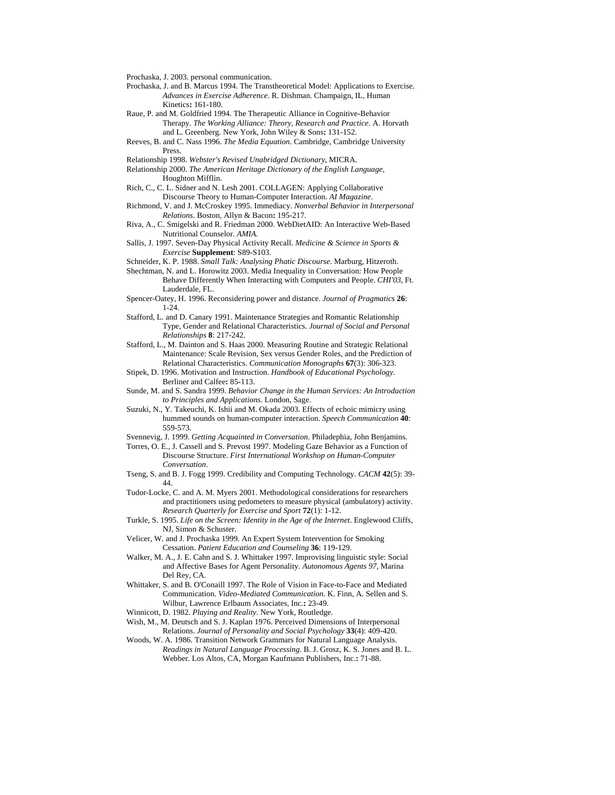Prochaska, J. 2003. personal communication.

- Prochaska, J. and B. Marcus 1994. The Transtheoretical Model: Applications to Exercise. *Advances in Exercise Adherence*. R. Dishman. Champaign, IL, Human Kinetics**:** 161-180.
- Raue, P. and M. Goldfried 1994. The Therapeutic Alliance in Cognitive-Behavior Therapy. *The Working Alliance: Theory, Research and Practice*. A. Horvath and L. Greenberg. New York, John Wiley & Sons**:** 131-152.
- Reeves, B. and C. Nass 1996. *The Media Equation*. Cambridge, Cambridge University Press.
- Relationship 1998. *Webster's Revised Unabridged Dictionary*, MICRA.
- Relationship 2000. *The American Heritage Dictionary of the English Language*, Houghton Mifflin.
- Rich, C., C. L. Sidner and N. Lesh 2001. COLLAGEN: Applying Collaborative Discourse Theory to Human-Computer Interaction. *AI Magazine*.
- Richmond, V. and J. McCroskey 1995. Immediacy. *Nonverbal Behavior in Interpersonal Relations*. Boston, Allyn & Bacon**:** 195-217.
- Riva, A., C. Smigelski and R. Friedman 2000. WebDietAID: An Interactive Web-Based Nutritional Counselor. *AMIA*.
- Sallis, J. 1997. Seven-Day Physical Activity Recall. *Medicine & Science in Sports & Exercise* **Supplement**: S89-S103.
- Schneider, K. P. 1988. *Small Talk: Analysing Phatic Discourse*. Marburg, Hitzeroth.
- Shechtman, N. and L. Horowitz 2003. Media Inequality in Conversation: How People Behave Differently When Interacting with Computers and People. *CHI'03*, Ft. Lauderdale, FL.
- Spencer-Oatey, H. 1996. Reconsidering power and distance. *Journal of Pragmatics* **26**: 1-24.
- Stafford, L. and D. Canary 1991. Maintenance Strategies and Romantic Relationship Type, Gender and Relational Characteristics. *Journal of Social and Personal Relationships* **8**: 217-242.
- Stafford, L., M. Dainton and S. Haas 2000. Measuring Routine and Strategic Relational Maintenance: Scale Revision, Sex versus Gender Roles, and the Prediction of Relational Characteristics. *Communication Monographs* **67**(3): 306-323.
- Stipek, D. 1996. Motivation and Instruction. *Handbook of Educational Psychology*. Berliner and Calfee**:** 85-113.
- Sunde, M. and S. Sandra 1999. *Behavior Change in the Human Services: An Introduction to Principles and Applications*. London, Sage.
- Suzuki, N., Y. Takeuchi, K. Ishii and M. Okada 2003. Effects of echoic mimicry using hummed sounds on human-computer interaction. *Speech Communication* **40**: 559-573.
- Svennevig, J. 1999. *Getting Acquainted in Conversation*. Philadephia, John Benjamins.
- Torres, O. E., J. Cassell and S. Prevost 1997. Modeling Gaze Behavior as a Function of Discourse Structure. *First International Workshop on Human-Computer Conversation*.
- Tseng, S. and B. J. Fogg 1999. Credibility and Computing Technology. *CACM* **42**(5): 39- 44.
- Tudor-Locke, C. and A. M. Myers 2001. Methodological considerations for researchers and practitioners using pedometers to measure physical (ambulatory) activity. *Research Quarterly for Exercise and Sport* **72**(1): 1-12.
- Turkle, S. 1995. *Life on the Screen: Identity in the Age of the Internet*. Englewood Cliffs, NJ, Simon & Schuster.
- Velicer, W. and J. Prochaska 1999. An Expert System Intervention for Smoking Cessation. *Patient Education and Counseling* **36**: 119-129.
- Walker, M. A., J. E. Cahn and S. J. Whittaker 1997. Improvising linguistic style: Social and Affective Bases for Agent Personality. *Autonomous Agents 97*, Marina Del Rey, CA.
- Whittaker, S. and B. O'Conaill 1997. The Role of Vision in Face-to-Face and Mediated Communication. *Video-Mediated Communication*. K. Finn, A. Sellen and S. Wilbur, Lawrence Erlbaum Associates, Inc.**:** 23-49.
- Winnicott, D. 1982. *Playing and Reality*. New York, Routledge.
- Wish, M., M. Deutsch and S. J. Kaplan 1976. Perceived Dimensions of Interpersonal Relations. *Journal of Personality and Social Psychology* **33**(4): 409-420.
- Woods, W. A. 1986. Transition Network Grammars for Natural Language Analysis. *Readings in Natural Language Processing*. B. J. Grosz, K. S. Jones and B. L. Webber. Los Altos, CA, Morgan Kaufmann Publishers, Inc.**:** 71-88.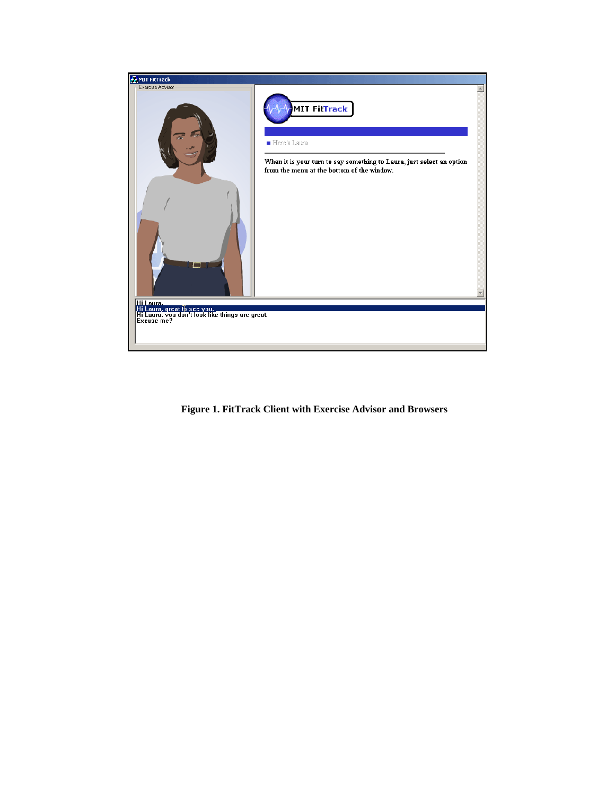

**Figure 1. FitTrack Client with Exercise Advisor and Browsers**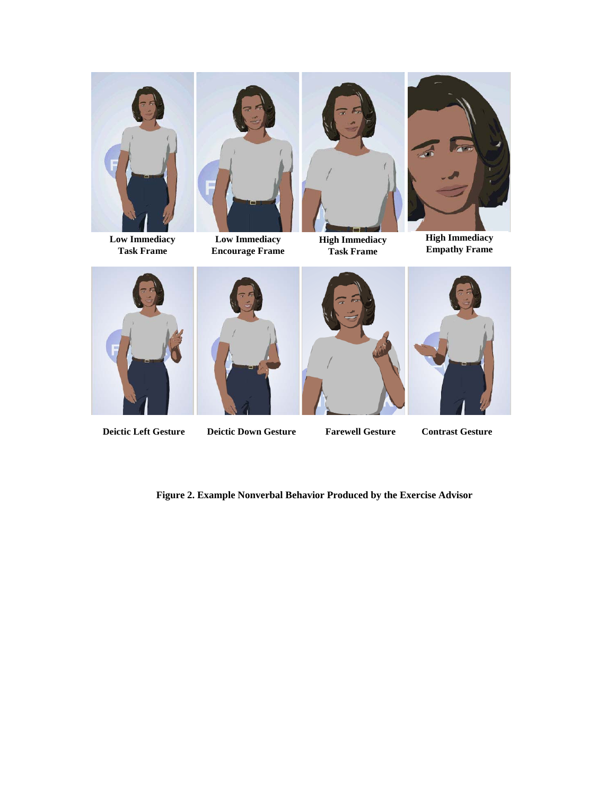

**Low Immediacy Task Frame**



**Low Immediacy Encourage Frame**



**High Immediacy Task Frame**



**High Immediacy Empathy Frame**









**Deictic Left Gesture Deictic Down Gesture Farewell Gesture Contrast Gesture**

**Figure 2. Example Nonverbal Behavior Produced by the Exercise Advisor**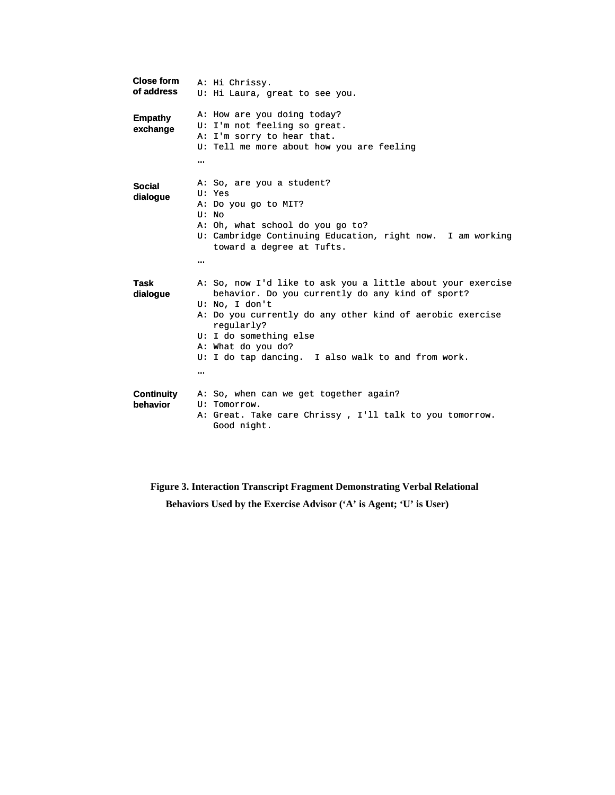| <b>Close form</b><br>of address | A: Hi Chrissy.<br>U: Hi Laura, great to see you.                                                                                                                                                                                                                                                                       |
|---------------------------------|------------------------------------------------------------------------------------------------------------------------------------------------------------------------------------------------------------------------------------------------------------------------------------------------------------------------|
| <b>Empathy</b><br>exchange      | A: How are you doing today?<br>U: I'm not feeling so great.<br>A: I'm sorry to hear that.<br>U: Tell me more about how you are feeling<br>                                                                                                                                                                             |
| <b>Social</b><br>dialogue       | A: So, are you a student?<br>U: Yes<br>A: Do you go to MIT?<br>$U:$ No<br>A: Oh, what school do you go to?<br>U: Cambridge Continuing Education, right now. I am working<br>toward a degree at Tufts.<br>                                                                                                              |
| Task<br>dialogue                | A: So, now I'd like to ask you a little about your exercise<br>behavior. Do you currently do any kind of sport?<br>U: No, I don't<br>A: Do you currently do any other kind of aerobic exercise<br>regularly?<br>U: I do something else<br>A: What do you do?<br>U: I do tap dancing. I also walk to and from work.<br> |
| <b>Continuity</b><br>behavior   | A: So, when can we get together again?<br>U: Tomorrow.<br>A: Great. Take care Chrissy, I'll talk to you tomorrow.                                                                                                                                                                                                      |

**Figure 3. Interaction Transcript Fragment Demonstrating Verbal Relational Behaviors Used by the Exercise Advisor ('A' is Agent; 'U' is User)**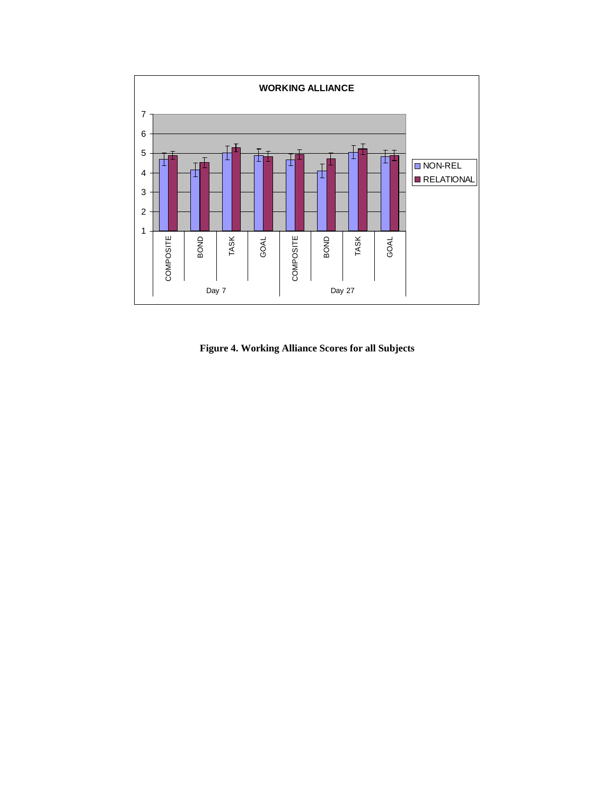

**Figure 4. Working Alliance Scores for all Subjects**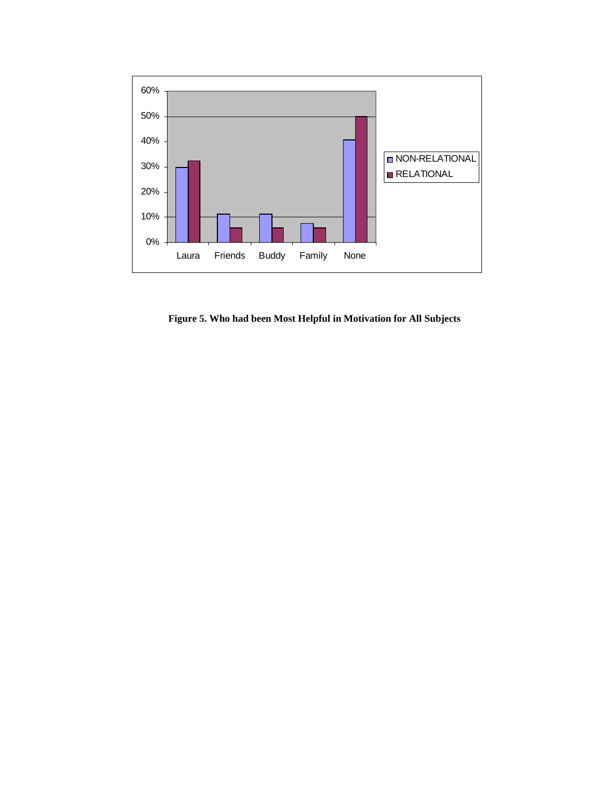

**Figure 5. Who had been Most Helpful in Motivation for All Subjects**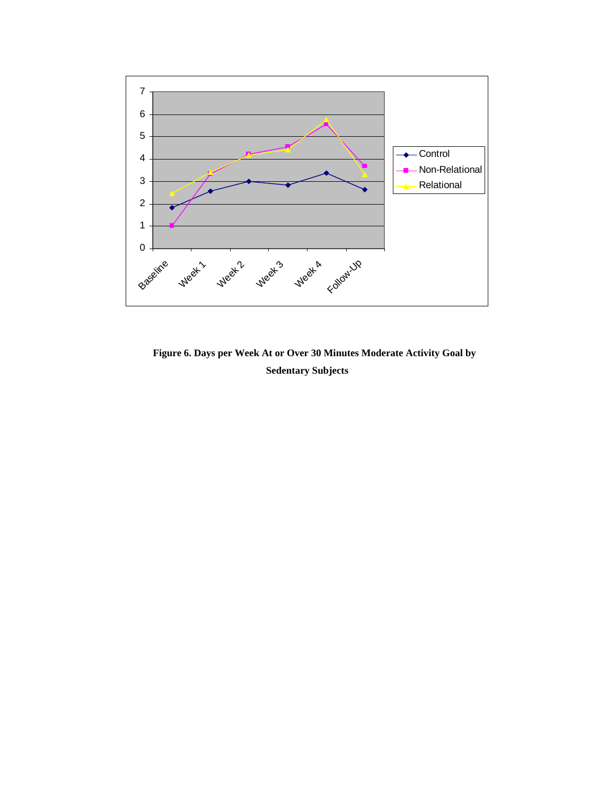

**Figure 6. Days per Week At or Over 30 Minutes Moderate Activity Goal by Sedentary Subjects**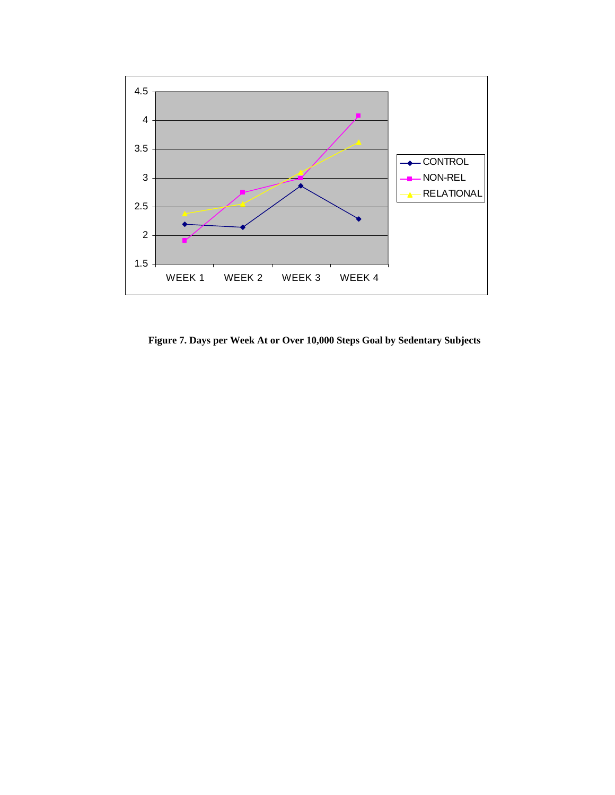

**Figure 7. Days per Week At or Over 10,000 Steps Goal by Sedentary Subjects**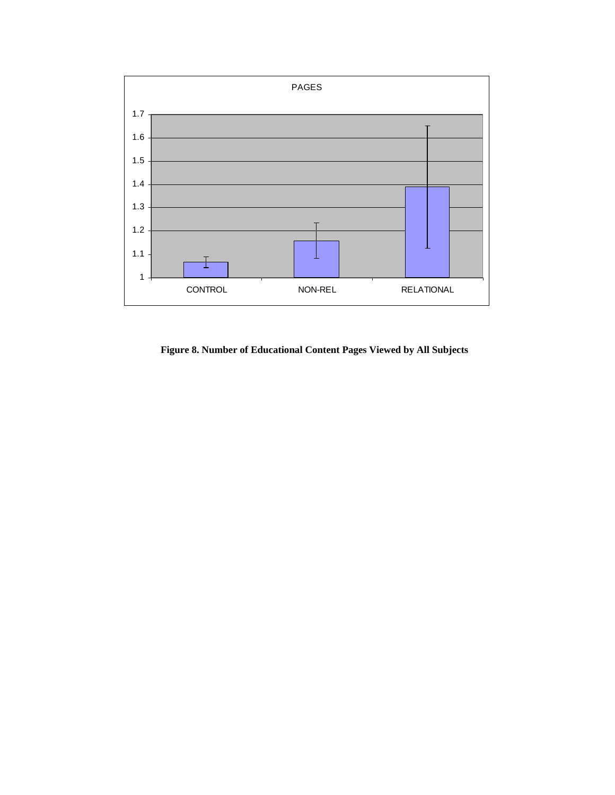

**Figure 8. Number of Educational Content Pages Viewed by All Subjects**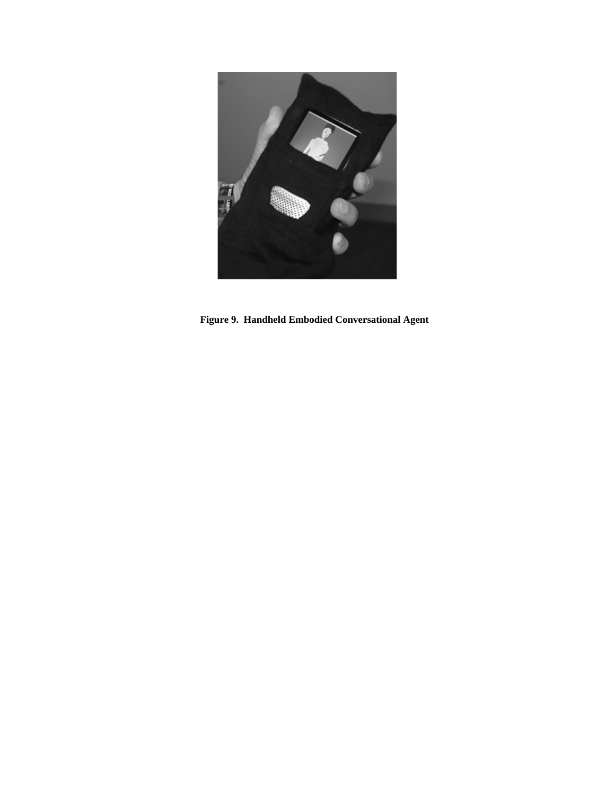

**Figure 9. Handheld Embodied Conversational Agent**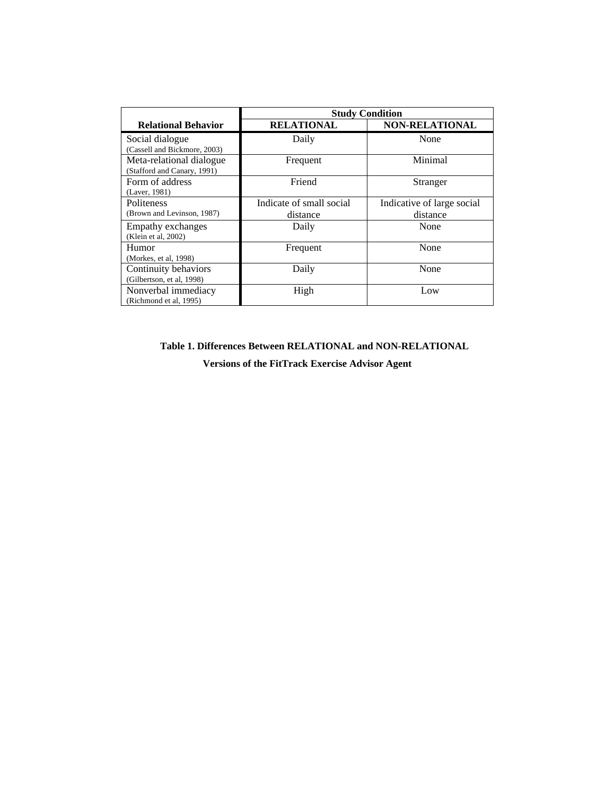|                                                         | <b>Study Condition</b>               |                                        |  |  |  |  |
|---------------------------------------------------------|--------------------------------------|----------------------------------------|--|--|--|--|
| <b>Relational Behavior</b>                              | <b>RELATIONAL</b>                    | <b>NON-RELATIONAL</b>                  |  |  |  |  |
| Social dialogue<br>(Cassell and Bickmore, 2003)         | Daily                                | None                                   |  |  |  |  |
| Meta-relational dialogue<br>(Stafford and Canary, 1991) | Frequent                             | Minimal                                |  |  |  |  |
| Form of address<br>(Laver, 1981)                        | Friend                               | Stranger                               |  |  |  |  |
| <b>Politeness</b><br>(Brown and Levinson, 1987)         | Indicate of small social<br>distance | Indicative of large social<br>distance |  |  |  |  |
| Empathy exchanges<br>(Klein et al, 2002)                | Daily                                | None                                   |  |  |  |  |
| Humor<br>(Morkes, et al, 1998)                          | Frequent                             | None                                   |  |  |  |  |
| Continuity behaviors<br>(Gilbertson, et al, 1998)       | Daily                                | None                                   |  |  |  |  |
| Nonverbal immediacy<br>(Richmond et al, 1995)           | High                                 | Low                                    |  |  |  |  |

# **Table 1. Differences Between RELATIONAL and NON-RELATIONAL**

**Versions of the FitTrack Exercise Advisor Agent**